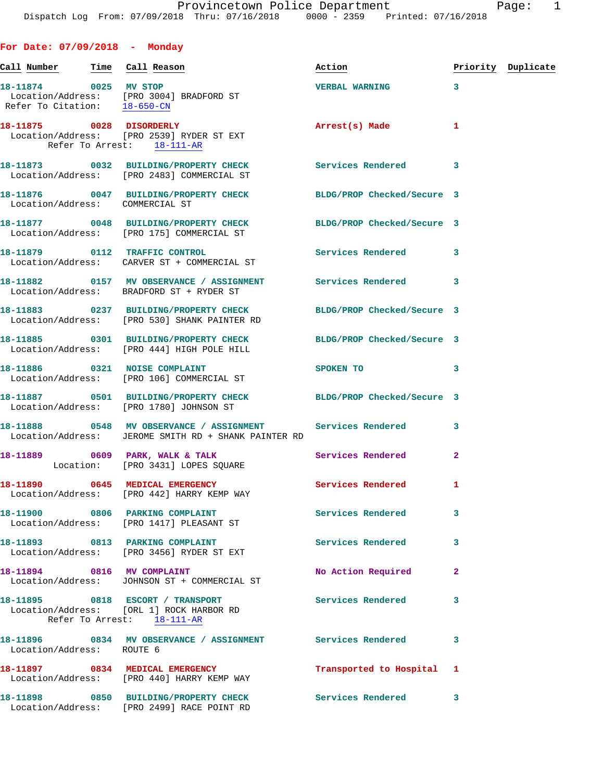Call Number Time Call Reason **Reason Action Action** Priority Duplicate

**For Date: 07/09/2018 - Monday**

**18-11874 0025 MV STOP VERBAL WARNING 3**  Location/Address: [PRO 3004] BRADFORD ST Refer To Citation: 18-650-CN **18-11875 0028 DISORDERLY Arrest(s) Made 1**  Location/Address: [PRO 2539] RYDER ST EXT Refer To Arrest: 18-111-AR **18-11873 0032 BUILDING/PROPERTY CHECK Services Rendered 3**  Location/Address: [PRO 2483] COMMERCIAL ST **18-11876 0047 BUILDING/PROPERTY CHECK BLDG/PROP Checked/Secure 3**  Location/Address: COMMERCIAL ST **18-11877 0048 BUILDING/PROPERTY CHECK BLDG/PROP Checked/Secure 3**  Location/Address: [PRO 175] COMMERCIAL ST **18-11879 0112 TRAFFIC CONTROL Services Rendered 3**  Location/Address: CARVER ST + COMMERCIAL ST 18-11882 **0157 MV OBSERVANCE / ASSIGNMENT** Services Rendered 3 Location/Address: BRADFORD ST + RYDER ST **18-11883 0237 BUILDING/PROPERTY CHECK BLDG/PROP Checked/Secure 3**  Location/Address: [PRO 530] SHANK PAINTER RD **18-11885 0301 BUILDING/PROPERTY CHECK BLDG/PROP Checked/Secure 3**  Location/Address: [PRO 444] HIGH POLE HILL **18-11886** 0321 NOISE COMPLAINT SPOKEN TO 3 Location/Address: [PRO 106] COMMERCIAL ST **18-11887 0501 BUILDING/PROPERTY CHECK BLDG/PROP Checked/Secure 3**  Location/Address: [PRO 1780] JOHNSON ST **18-11888 0548 MV OBSERVANCE / ASSIGNMENT Services Rendered 3**  Location/Address: JEROME SMITH RD + SHANK PAINTER RD 18-11889 **0609 PARK, WALK & TALK** Services Rendered 2 Location: [PRO 3431] LOPES SQUARE 18-11890 0645 MEDICAL EMERGENCY Services Rendered 1 Location/Address: [PRO 442] HARRY KEMP WAY **18-11900 0806 PARKING COMPLAINT Services Rendered 3**  Location/Address: [PRO 1417] PLEASANT ST 18-11893 0813 PARKING COMPLAINT **Services Rendered** 3 Location/Address: [PRO 3456] RYDER ST EXT 18-11894 0816 MV COMPLAINT **18-11894** 0816 2 Location/Address: JOHNSON ST + COMMERCIAL ST **18-11895 0818 ESCORT / TRANSPORT Services Rendered 3**  Location/Address: [ORL 1] ROCK HARBOR RD Refer To Arrest: 18-111-AR **18-11896 0834 MV OBSERVANCE / ASSIGNMENT Services Rendered 3**  Location/Address: ROUTE 6 **18-11897 0834 MEDICAL EMERGENCY Transported to Hospital 1** 

 Location/Address: [PRO 440] HARRY KEMP WAY **18-11898 0850 BUILDING/PROPERTY CHECK Services Rendered 3**  Location/Address: [PRO 2499] RACE POINT RD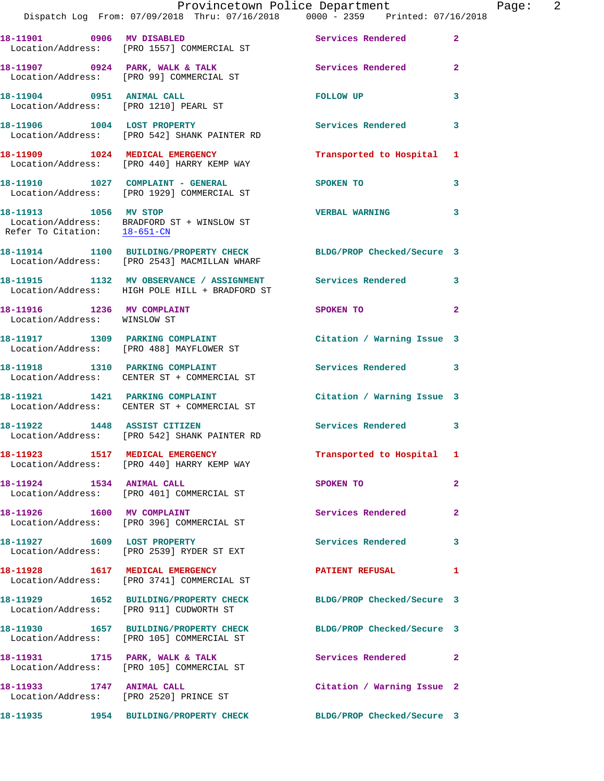|                              | Provincetown Police Department The Page: 2<br>Dispatch Log From: 07/09/2018 Thru: 07/16/2018   0000 - 2359   Printed: 07/16/2018 |                                                                                                                |              |
|------------------------------|----------------------------------------------------------------------------------------------------------------------------------|----------------------------------------------------------------------------------------------------------------|--------------|
|                              | 18-11901 0906 MV DISABLED Services Rendered<br>Location/Address: [PRO 1557] COMMERCIAL ST                                        |                                                                                                                | $\mathbf{2}$ |
|                              | 18-11907 0924 PARK, WALK & TALK Services Rendered<br>Location/Address: [PRO 99] COMMERCIAL ST                                    |                                                                                                                | $\mathbf{2}$ |
|                              | 18-11904     0951   ANIMAL CALL<br>Location/Address:    [PRO 1210] PEARL ST                                                      | FOLLOW UP                                                                                                      | 3            |
|                              | 18-11906 1004 LOST PROPERTY<br>Location/Address: [PRO 542] SHANK PAINTER RD                                                      | Services Rendered                                                                                              | 3            |
|                              | 18-11909 1024 MEDICAL EMERGENCY<br>Location/Address: [PRO 440] HARRY KEMP WAY                                                    | Transported to Hospital 1                                                                                      |              |
|                              | 18-11910    1027    COMPLAINT - GENERAL<br>Location/Address: [PRO 1929] COMMERCIAL ST                                            | SPOKEN TO                                                                                                      | 3            |
| Refer To Citation: 18-651-CN | 18-11913 1056 MV STOP<br>Location/Address: BRADFORD ST + WINSLOW ST                                                              | <b>VERBAL WARNING</b>                                                                                          | 3            |
|                              | 18-11914 1100 BUILDING/PROPERTY CHECK BLDG/PROP Checked/Secure 3<br>Location/Address: [PRO 2543] MACMILLAN WHARF                 |                                                                                                                |              |
|                              | 18-11915 1132 MV OBSERVANCE / ASSIGNMENT Services Rendered 3<br>Location/Address: HIGH POLE HILL + BRADFORD ST                   |                                                                                                                |              |
| Location/Address: WINSLOW ST | 18-11916 1236 MV COMPLAINT                                                                                                       | SPOKEN TO THE STATE OF THE STATE OF THE STATE OF THE STATE OF THE STATE OF THE STATE OF THE STATE OF THE STATE | $\mathbf{2}$ |
|                              | 18-11917 1309 PARKING COMPLAINT<br>Location/Address: [PRO 488] MAYFLOWER ST                                                      | Citation / Warning Issue 3                                                                                     |              |
|                              | 18-11918 1310 PARKING COMPLAINT<br>Location/Address: CENTER ST + COMMERCIAL ST                                                   | Services Rendered 3                                                                                            |              |
|                              | 18-11921 1421 PARKING COMPLAINT<br>Location/Address: CENTER ST + COMMERCIAL ST                                                   | Citation / Warning Issue 3                                                                                     |              |
|                              | 18-11922 1448 ASSIST CITIZEN<br>Location/Address: [PRO 542] SHANK PAINTER RD                                                     | Services Rendered 3                                                                                            |              |
|                              | 18-11923 1517 MEDICAL EMERGENCY<br>Location/Address: [PRO 440] HARRY KEMP WAY                                                    | Transported to Hospital 1                                                                                      |              |
|                              | 18-11924 1534 ANIMAL CALL<br>Location/Address: [PRO 401] COMMERCIAL ST                                                           | SPOKEN TO                                                                                                      | $\mathbf{2}$ |
|                              | 18-11926 1600 MV COMPLAINT<br>Location/Address: [PRO 396] COMMERCIAL ST                                                          | Services Rendered                                                                                              | $\mathbf{2}$ |
|                              | 18-11927 1609 LOST PROPERTY<br>Location/Address: [PRO 2539] RYDER ST EXT                                                         | <b>Services Rendered</b>                                                                                       | 3            |
|                              | 18-11928 1617 MEDICAL EMERGENCY<br>Location/Address: [PRO 3741] COMMERCIAL ST                                                    | PATIENT REFUSAL                                                                                                | 1            |
|                              | 18-11929 1652 BUILDING/PROPERTY CHECK BLDG/PROP Checked/Secure 3<br>Location/Address: [PRO 911] CUDWORTH ST                      |                                                                                                                |              |
|                              | 18-11930 1657 BUILDING/PROPERTY CHECK BLDG/PROP Checked/Secure 3<br>Location/Address: [PRO 105] COMMERCIAL ST                    |                                                                                                                |              |
|                              | 18-11931 1715 PARK, WALK & TALK<br>Location/Address: [PRO 105] COMMERCIAL ST                                                     | Services Rendered 2                                                                                            |              |
| 18-11933 1747 ANIMAL CALL    | Location/Address: [PRO 2520] PRINCE ST                                                                                           | Citation / Warning Issue 2                                                                                     |              |
|                              | 18-11935 1954 BUILDING/PROPERTY CHECK BLDG/PROP Checked/Secure 3                                                                 |                                                                                                                |              |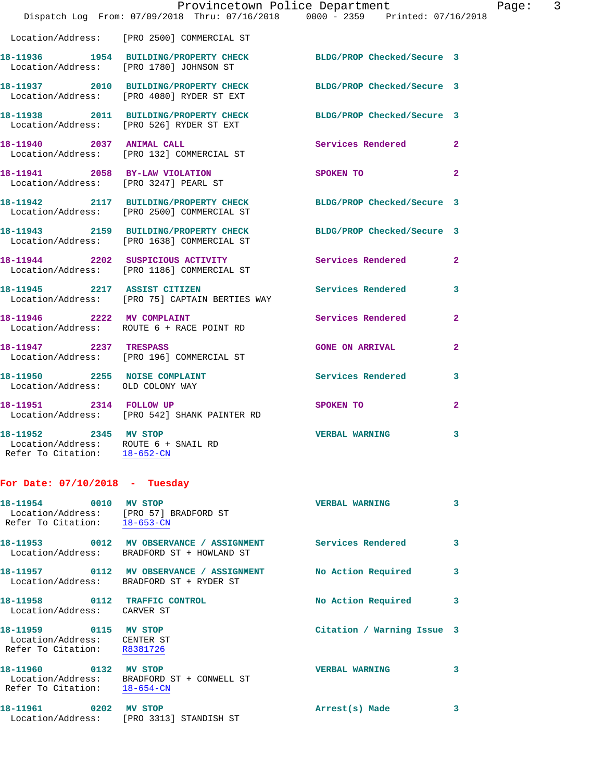|                                                                                                 | Dispatch Log From: 07/09/2018 Thru: 07/16/2018 0000 - 2359 Printed: 07/16/2018                                 | Provincetown Police Department   |              | Page: 3 |  |
|-------------------------------------------------------------------------------------------------|----------------------------------------------------------------------------------------------------------------|----------------------------------|--------------|---------|--|
|                                                                                                 | Location/Address: [PRO 2500] COMMERCIAL ST                                                                     |                                  |              |         |  |
|                                                                                                 | 18-11936 1954 BUILDING/PROPERTY CHECK BLDG/PROP Checked/Secure 3<br>Location/Address: [PRO 1780] JOHNSON ST    |                                  |              |         |  |
|                                                                                                 | 18-11937 2010 BUILDING/PROPERTY CHECK BLDG/PROP Checked/Secure 3<br>Location/Address: [PRO 4080] RYDER ST EXT  |                                  |              |         |  |
|                                                                                                 | 18-11938 2011 BUILDING/PROPERTY CHECK BLDG/PROP Checked/Secure 3<br>Location/Address: [PRO 526] RYDER ST EXT   |                                  |              |         |  |
|                                                                                                 | 18-11940 2037 ANIMAL CALL<br>Location/Address: [PRO 132] COMMERCIAL ST                                         | Services Rendered                | $\mathbf{2}$ |         |  |
|                                                                                                 | 18-11941 2058 BY-LAW VIOLATION<br>Location/Address: [PRO 3247] PEARL ST                                        | SPOKEN TO AND TO A THE SPOKEN TO | $\mathbf{2}$ |         |  |
|                                                                                                 | 18-11942 2117 BUILDING/PROPERTY CHECK BLDG/PROP Checked/Secure 3<br>Location/Address: [PRO 2500] COMMERCIAL ST |                                  |              |         |  |
|                                                                                                 | 18-11943 2159 BUILDING/PROPERTY CHECK BLDG/PROP Checked/Secure 3<br>Location/Address: [PRO 1638] COMMERCIAL ST |                                  |              |         |  |
|                                                                                                 | 18-11944 2202 SUSPICIOUS ACTIVITY<br>Location/Address: [PRO 1186] COMMERCIAL ST                                | Services Rendered                | $\mathbf{2}$ |         |  |
|                                                                                                 | 18-11945 2217 ASSIST CITIZEN<br>Location/Address: [PRO 75] CAPTAIN BERTIES WAY                                 | Services Rendered                | 3            |         |  |
|                                                                                                 | 18-11946 2222 MV COMPLAINT<br>Location/Address: ROUTE 6 + RACE POINT RD                                        | Services Rendered                | $\mathbf{2}$ |         |  |
| 18-11947 2237 TRESPASS                                                                          | Location/Address: [PRO 196] COMMERCIAL ST                                                                      | <b>GONE ON ARRIVAL</b>           | $\mathbf{2}$ |         |  |
| Location/Address: OLD COLONY WAY                                                                | 18-11950 2255 NOISE COMPLAINT                                                                                  | Services Rendered 3              |              |         |  |
| 18-11951 2314 FOLLOW UP                                                                         | Location/Address: [PRO 542] SHANK PAINTER RD                                                                   | SPOKEN TO                        | $\mathbf{2}$ |         |  |
| 18-11952 2345 MV STOP<br>Location/Address: ROUTE 6 + SNAIL RD<br>Refer To Citation: 18-652-CN   |                                                                                                                | <b>VERBAL WARNING</b>            | 3            |         |  |
| For Date: $07/10/2018$ - Tuesday                                                                |                                                                                                                |                                  |              |         |  |
| 18-11954 0010 MV STOP<br>Location/Address: [PRO 57] BRADFORD ST<br>Refer To Citation: 18-653-CN |                                                                                                                | <b>VERBAL WARNING</b>            | 3            |         |  |
|                                                                                                 | 18-11953 0012 MV OBSERVANCE / ASSIGNMENT<br>Location/Address: BRADFORD ST + HOWLAND ST                         | Services Rendered                | 3            |         |  |
|                                                                                                 | 18-11957 0112 MV OBSERVANCE / ASSIGNMENT<br>Location/Address: BRADFORD ST + RYDER ST                           | No Action Required               | 3            |         |  |
| 18-11958 0112 TRAFFIC CONTROL<br>Location/Address: CARVER ST                                    |                                                                                                                | No Action Required               | 3            |         |  |
| 18-11959 0115 MV STOP<br>Location/Address:     CENTER ST<br>Refer To Citation: R8381726         |                                                                                                                | Citation / Warning Issue 3       |              |         |  |
| 18-11960 0132 MV STOP<br>Refer To Citation:                                                     | Location/Address: BRADFORD ST + CONWELL ST<br>$18 - 654 - CN$                                                  | <b>VERBAL WARNING</b>            | 3            |         |  |
| 18-11961 0202 MV STOP                                                                           | Location/Address: [PRO 3313] STANDISH ST                                                                       | Arrest(s) Made                   | 3            |         |  |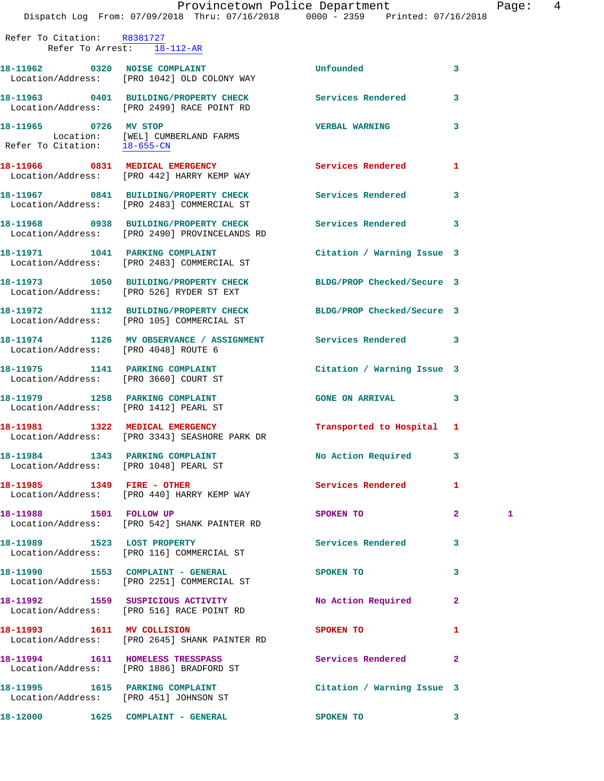Refer To Citation: R8381727 Refer To Arrest: 18-112-AR **18-11962 0320 NOISE COMPLAINT Unfounded 3**  Location/Address: [PRO 1042] OLD COLONY WAY **18-11963 0401 BUILDING/PROPERTY CHECK Services Rendered 3**  Location/Address: [PRO 2499] RACE POINT RD **18-11965 0726 MV STOP VERBAL WARNING 3**  Location: [WEL] CUMBERLAND FARMS<br>efer To Citation: 18-655-CN Refer To Citation: **18-11966 0831 MEDICAL EMERGENCY Services Rendered 1**  Location/Address: [PRO 442] HARRY KEMP WAY **18-11967 0841 BUILDING/PROPERTY CHECK Services Rendered 3**  Location/Address: [PRO 2483] COMMERCIAL ST **18-11968 0938 BUILDING/PROPERTY CHECK Services Rendered 3**  Location/Address: [PRO 2490] PROVINCELANDS RD **18-11971 1041 PARKING COMPLAINT Citation / Warning Issue 3**  Location/Address: [PRO 2483] COMMERCIAL ST **18-11973 1050 BUILDING/PROPERTY CHECK BLDG/PROP Checked/Secure 3**  Location/Address: [PRO 526] RYDER ST EXT **18-11972 1112 BUILDING/PROPERTY CHECK BLDG/PROP Checked/Secure 3**  Location/Address: [PRO 105] COMMERCIAL ST **18-11974 1126 MV OBSERVANCE / ASSIGNMENT Services Rendered 3**  Location/Address: [PRO 4048] ROUTE 6 **18-11975 1141 PARKING COMPLAINT Citation / Warning Issue 3**  Location/Address: [PRO 3660] COURT ST **18-11979 1258 PARKING COMPLAINT GONE ON ARRIVAL 3**  Location/Address: [PRO 1412] PEARL ST **18-11981 1322 MEDICAL EMERGENCY Transported to Hospital 1**  Location/Address: [PRO 3343] SEASHORE PARK DR **18-11984 1343 PARKING COMPLAINT No Action Required 3**  Location/Address: [PRO 1048] PEARL ST 18-11985 1349 FIRE - OTHER Services Rendered 1 Location/Address: [PRO 440] HARRY KEMP WAY **18-11988 1501 FOLLOW UP SPOKEN TO 2 1**  Location/Address: [PRO 542] SHANK PAINTER RD 18-11989 1523 LOST PROPERTY **18-11989** Services Rendered 3 Location/Address: [PRO 116] COMMERCIAL ST **18-11990 1553 COMPLAINT - GENERAL SPOKEN TO 3**  Location/Address: [PRO 2251] COMMERCIAL ST **18-11992 1559 SUSPICIOUS ACTIVITY No Action Required 2**  Location/Address: [PRO 516] RACE POINT RD **18-11993** 1611 MV COLLISION SPOKEN TO 1 Location/Address: [PRO 2645] SHANK PAINTER RD **18-11994 1611 HOMELESS TRESSPASS Services Rendered 2**  Location/Address: [PRO 1886] BRADFORD ST **18-11995 1615 PARKING COMPLAINT Citation / Warning Issue 3**  Location/Address: [PRO 451] JOHNSON ST

**18-12000 1625 COMPLAINT - GENERAL SPOKEN TO 3**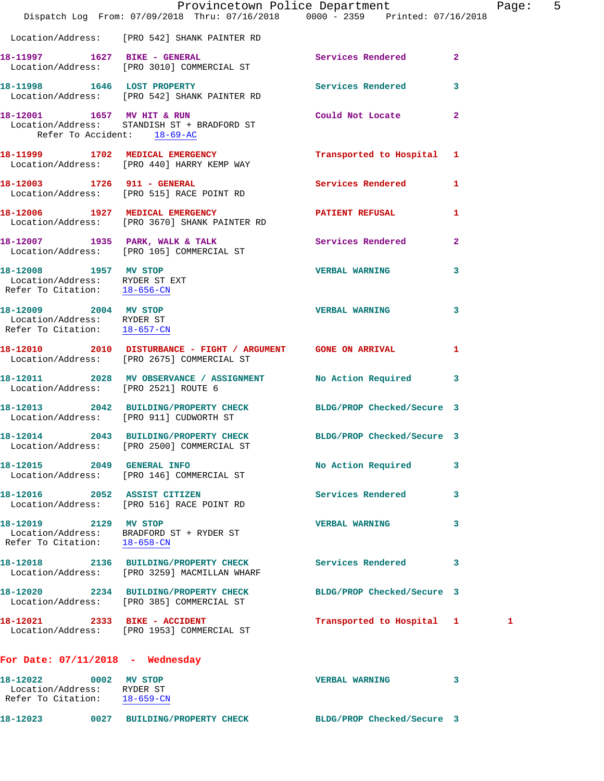|                                                                                           | Dispatch Log From: 07/09/2018 Thru: 07/16/2018 0000 - 2359 Printed: 07/16/2018                                 | Provincetown Police Department |                | Page: 5 |  |
|-------------------------------------------------------------------------------------------|----------------------------------------------------------------------------------------------------------------|--------------------------------|----------------|---------|--|
|                                                                                           | Location/Address: [PRO 542] SHANK PAINTER RD                                                                   |                                |                |         |  |
|                                                                                           | 18-11997    1627    BIKE - GENERAL<br>Location/Address: [PRO 3010] COMMERCIAL ST                               | Services Rendered 2            |                |         |  |
|                                                                                           | 18-11998 1646 LOST PROPERTY<br>Location/Address: [PRO 542] SHANK PAINTER RD                                    | <b>Services Rendered</b>       | 3              |         |  |
| 18-12001 1657 MV HIT & RUN<br>Refer To Accident: 18-69-AC                                 | Location/Address: STANDISH ST + BRADFORD ST                                                                    | Could Not Locate               | $\overline{2}$ |         |  |
|                                                                                           | 18-11999 1702 MEDICAL EMERGENCY<br>Location/Address: [PRO 440] HARRY KEMP WAY                                  | Transported to Hospital 1      |                |         |  |
| 18-12003 1726 911 - GENERAL                                                               | Location/Address: [PRO 515] RACE POINT RD                                                                      | <b>Services Rendered</b>       | $\mathbf{1}$   |         |  |
|                                                                                           | 18-12006 1927 MEDICAL EMERGENCY<br>Location/Address: [PRO 3670] SHANK PAINTER RD                               | <b>PATIENT REFUSAL</b>         | 1              |         |  |
|                                                                                           | 18-12007 1935 PARK, WALK & TALK<br>Location/Address: [PRO 105] COMMERCIAL ST                                   | Services Rendered              | $\mathbf{2}$   |         |  |
| 18-12008 1957 MV STOP<br>Location/Address: RYDER ST EXT<br>Refer To Citation: $18-656-CN$ |                                                                                                                | <b>VERBAL WARNING</b>          | 3              |         |  |
| 18-12009 2004 MV STOP<br>Location/Address: RYDER ST<br>Refer To Citation: 18-657-CN       |                                                                                                                | <b>VERBAL WARNING</b>          | 3              |         |  |
|                                                                                           | 18-12010 2010 DISTURBANCE - FIGHT / ARGUMENT GONE ON ARRIVAL<br>Location/Address: [PRO 2675] COMMERCIAL ST     |                                | 1              |         |  |
| Location/Address: [PRO 2521] ROUTE 6                                                      | 18-12011 2028 MV OBSERVANCE / ASSIGNMENT                                                                       | No Action Required             | 3              |         |  |
| Location/Address: [PRO 911] CUDWORTH ST                                                   | 18-12013 2042 BUILDING/PROPERTY CHECK                                                                          | BLDG/PROP Checked/Secure 3     |                |         |  |
|                                                                                           | 18-12014 2043 BUILDING/PROPERTY CHECK BLDG/PROP Checked/Secure 3<br>Location/Address: [PRO 2500] COMMERCIAL ST |                                |                |         |  |
| 18-12015 2049 GENERAL INFO                                                                | Location/Address: [PRO 146] COMMERCIAL ST                                                                      | No Action Required             | 3              |         |  |
|                                                                                           | 18-12016 2052 ASSIST CITIZEN<br>Location/Address: [PRO 516] RACE POINT RD                                      | <b>Services Rendered</b>       | 3              |         |  |
| 18-12019 2129 MV STOP                                                                     | Location/Address: BRADFORD ST + RYDER ST<br>Refer To Citation: $18-658-CN$                                     | <b>VERBAL WARNING</b>          | 3              |         |  |
|                                                                                           | 18-12018 2136 BUILDING/PROPERTY CHECK<br>Location/Address: [PRO 3259] MACMILLAN WHARF                          | Services Rendered              | 3              |         |  |
|                                                                                           | 18-12020 2234 BUILDING/PROPERTY CHECK<br>Location/Address: [PRO 385] COMMERCIAL ST                             | BLDG/PROP Checked/Secure 3     |                |         |  |
|                                                                                           | 18-12021 2333 BIKE - ACCIDENT<br>Location/Address: [PRO 1953] COMMERCIAL ST                                    | Transported to Hospital 1      |                | 1       |  |
| For Date: $07/11/2018$ - Wednesday                                                        |                                                                                                                |                                |                |         |  |
| 18-12022 0002 MV STOP<br>Location/Address: RYDER ST<br>Refer To Citation: 18-659-CN       |                                                                                                                | <b>VERBAL WARNING</b>          | 3              |         |  |

**18-12023 0027 BUILDING/PROPERTY CHECK BLDG/PROP Checked/Secure 3**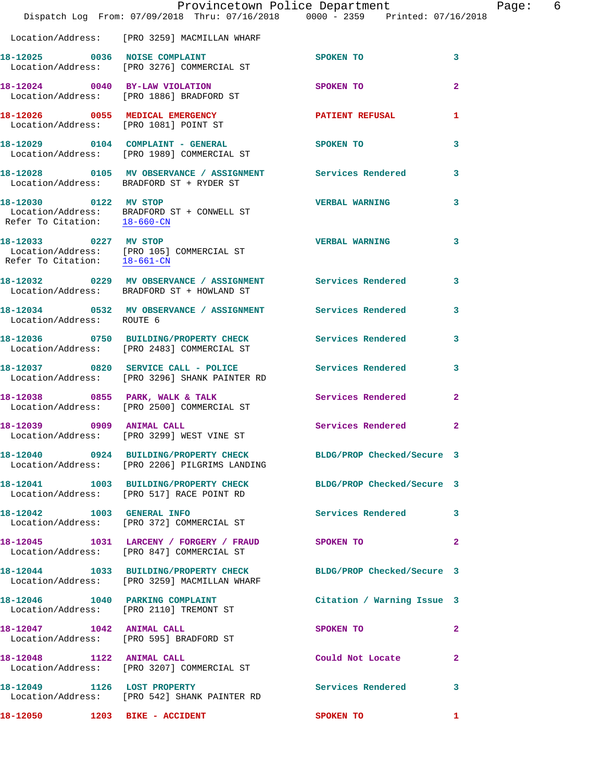|                              | Provincetown Police Department<br>Dispatch Log From: 07/09/2018 Thru: 07/16/2018 0000 - 2359 Printed: 07/16/2018  |                            | Page: 6      |
|------------------------------|-------------------------------------------------------------------------------------------------------------------|----------------------------|--------------|
|                              | Location/Address: [PRO 3259] MACMILLAN WHARF                                                                      |                            |              |
|                              | 18-12025 0036 NOISE COMPLAINT<br>Location/Address: [PRO 3276] COMMERCIAL ST                                       | SPOKEN TO                  | 3            |
|                              | 18-12024 0040 BY-LAW VIOLATION<br>Location/Address: [PRO 1886] BRADFORD ST                                        | SPOKEN TO                  | $\mathbf{2}$ |
|                              | 18-12026 0055 MEDICAL EMERGENCY<br>Location/Address: [PRO 1081] POINT ST                                          | PATIENT REFUSAL            | $\mathbf{1}$ |
|                              | 18-12029 0104 COMPLAINT - GENERAL<br>Location/Address: [PRO 1989] COMMERCIAL ST                                   | SPOKEN TO                  | 3            |
|                              | 18-12028 0105 MV OBSERVANCE / ASSIGNMENT Services Rendered<br>Location/Address: BRADFORD ST + RYDER ST            |                            | $\mathbf{3}$ |
| Refer To Citation: 18-660-CN | 18-12030 0122 MV STOP<br>Location/Address: BRADFORD ST + CONWELL ST                                               | <b>VERBAL WARNING</b>      | 3            |
| Refer To Citation: 18-661-CN | 18-12033 0227 MV STOP<br>Location/Address: [PRO 105] COMMERCIAL ST                                                | <b>VERBAL WARNING</b>      | 3            |
|                              | 18-12032 0229 MV OBSERVANCE / ASSIGNMENT Services Rendered<br>Location/Address: BRADFORD ST + HOWLAND ST          |                            | $\mathbf{3}$ |
| Location/Address: ROUTE 6    | 18-12034 0532 MV OBSERVANCE / ASSIGNMENT Services Rendered                                                        |                            | 3            |
|                              | 18-12036 0750 BUILDING/PROPERTY CHECK Services Rendered<br>Location/Address: [PRO 2483] COMMERCIAL ST             |                            | 3            |
|                              |                                                                                                                   | <b>Services Rendered</b>   | $\mathbf{3}$ |
|                              | 18-12038 0855 PARK, WALK & TALK (2008) Services Rendered Location/Address: [PRO 2500] COMMERCIAL ST               |                            | $\mathbf{2}$ |
|                              | 18-12039 0909 ANIMAL CALL<br>Location/Address: [PRO 3299] WEST VINE ST                                            | Services Rendered          | $\mathbf{2}$ |
|                              | 18-12040 0924 BUILDING/PROPERTY CHECK BLDG/PROP Checked/Secure 3<br>Location/Address: [PRO 2206] PILGRIMS LANDING |                            |              |
|                              | 18-12041 1003 BUILDING/PROPERTY CHECK BLDG/PROP Checked/Secure 3<br>Location/Address: [PRO 517] RACE POINT RD     |                            |              |
|                              | 18-12042 1003 GENERAL INFO<br>Location/Address: [PRO 372] COMMERCIAL ST                                           | Services Rendered 3        |              |
|                              | 18-12045 1031 LARCENY / FORGERY / FRAUD SPOKEN TO<br>Location/Address: [PRO 847] COMMERCIAL ST                    |                            | $\mathbf{2}$ |
|                              | 18-12044 1033 BUILDING/PROPERTY CHECK BLDG/PROP Checked/Secure 3<br>Location/Address: [PRO 3259] MACMILLAN WHARF  |                            |              |
|                              | 18-12046 1040 PARKING COMPLAINT<br>Location/Address: [PRO 2110] TREMONT ST                                        | Citation / Warning Issue 3 |              |
| 18-12047 1042 ANIMAL CALL    | Location/Address: [PRO 595] BRADFORD ST                                                                           | SPOKEN TO                  | $\mathbf{2}$ |
|                              | 18-12048 1122 ANIMAL CALL<br>Location/Address: [PRO 3207] COMMERCIAL ST                                           | Could Not Locate           | $\mathbf{2}$ |
| 18-12049 1126 LOST PROPERTY  | Location/Address: [PRO 542] SHANK PAINTER RD                                                                      | Services Rendered          | 3            |
|                              |                                                                                                                   | <b>SPOKEN TO</b>           | $\mathbf{1}$ |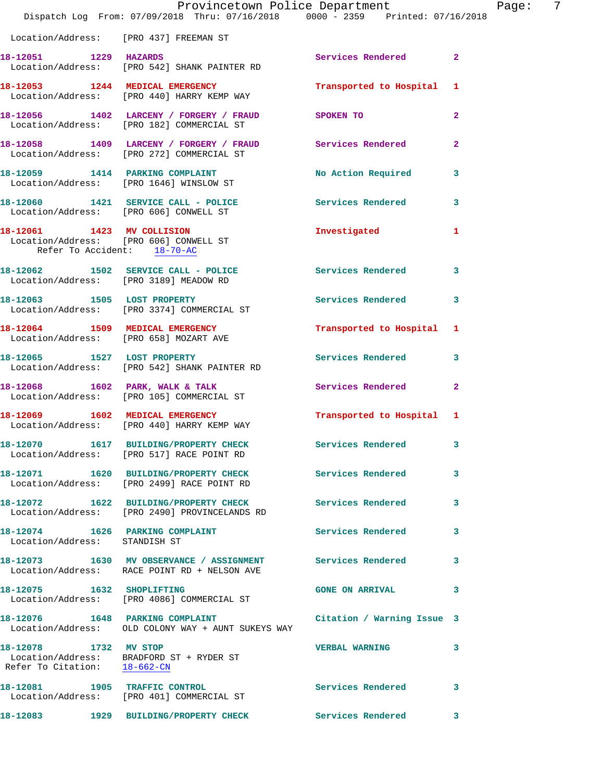|                                                       | Provincetown Police Department<br>Dispatch Log From: 07/09/2018 Thru: 07/16/2018 0000 - 2359 Printed: 07/16/2018                 |                           | Page: 7        |
|-------------------------------------------------------|----------------------------------------------------------------------------------------------------------------------------------|---------------------------|----------------|
|                                                       | Location/Address: [PRO 437] FREEMAN ST                                                                                           |                           |                |
|                                                       | 18-12051 1229 HAZARDS<br>Location/Address: [PRO 542] SHANK PAINTER RD                                                            | Services Rendered 2       |                |
|                                                       | 18-12053 1244 MEDICAL EMERGENCY<br>Location/Address: [PRO 440] HARRY KEMP WAY                                                    | Transported to Hospital 1 |                |
|                                                       | 18-12056 1402 LARCENY / FORGERY / FRAUD SPOKEN TO<br>Location/Address: [PRO 182] COMMERCIAL ST                                   |                           | $\mathbf{2}$   |
|                                                       | 18-12058 1409 LARCENY / FORGERY / FRAUD Services Rendered<br>Location/Address: [PRO 272] COMMERCIAL ST                           |                           | $\overline{2}$ |
|                                                       | 18-12059 1414 PARKING COMPLAINT<br>Location/Address: [PRO 1646] WINSLOW ST                                                       | No Action Required 3      |                |
| Location/Address: [PRO 606] CONWELL ST                | 18-12060 1421 SERVICE CALL - POLICE Services Rendered 3                                                                          |                           |                |
| Refer To Accident: 18-70-AC                           | 18-12061 1423 MV COLLISION<br>Location/Address: [PRO 606] CONWELL ST                                                             | Investigated 1            |                |
|                                                       | 18-12062 1502 SERVICE CALL - POLICE 3 Services Rendered 3<br>Location/Address: [PRO 3189] MEADOW RD                              |                           |                |
|                                                       | 18-12063 1505 LOST PROPERTY<br>Location/Address: [PRO 3374] COMMERCIAL ST                                                        | Services Rendered 3       |                |
|                                                       | 18-12064 1509 MEDICAL EMERGENCY Transported to Hospital 1 Location/Address: [PRO 658] MOZART AVE                                 |                           |                |
|                                                       | 18-12065 1527 LOST PROPERTY<br>Location/Address: [PRO 542] SHANK PAINTER RD                                                      | Services Rendered         | $\mathbf{3}$   |
|                                                       | 18-12068 1602 PARK, WALK & TALK<br>Location/Address: [PRO 105] COMMERCIAL ST                                                     | Services Rendered         | $\mathbf{2}$   |
|                                                       | 18-12069 1602 MEDICAL EMERGENCY<br>Location/Address: [PRO 440] HARRY KEMP WAY                                                    | Transported to Hospital 1 |                |
|                                                       | 18-12070   1617 BUILDING/PROPERTY CHECK<br>Location/Address: [PRO 517] RACE POINT RD                                             | Services Rendered         | 3              |
|                                                       | 18-12071 1620 BUILDING/PROPERTY CHECK Services Rendered 3<br>Location/Address: [PRO 2499] RACE POINT RD                          |                           |                |
|                                                       | 18-12072 1622 BUILDING/PROPERTY CHECK Services Rendered<br>Location/Address: [PRO 2490] PROVINCELANDS RD                         |                           | 3              |
| Location/Address: STANDISH ST                         | 18-12074 1626 PARKING COMPLAINT                                                                                                  | Services Rendered 3       |                |
|                                                       | 18-12073 1630 MV OBSERVANCE / ASSIGNMENT Services Rendered<br>Location/Address: RACE POINT RD + NELSON AVE                       |                           | 3              |
| 18-12075 1632 SHOPLIFTING                             | Location/Address: [PRO 4086] COMMERCIAL ST                                                                                       | <b>GONE ON ARRIVAL</b>    | 3              |
|                                                       | 18-12076 1648 PARKING COMPLAINT <b>18-12076</b> Citation / Warning Issue 3<br>Location/Address: OLD COLONY WAY + AUNT SUKEYS WAY |                           |                |
| 18-12078 1732 MV STOP<br>Refer To Citation: 18-662-CN | Location/Address: BRADFORD ST + RYDER ST                                                                                         | <b>VERBAL WARNING</b>     | 3              |
|                                                       | 18-12081 1905 TRAFFIC CONTROL<br>Location/Address: [PRO 401] COMMERCIAL ST                                                       | Services Rendered 3       |                |
|                                                       |                                                                                                                                  |                           | 3              |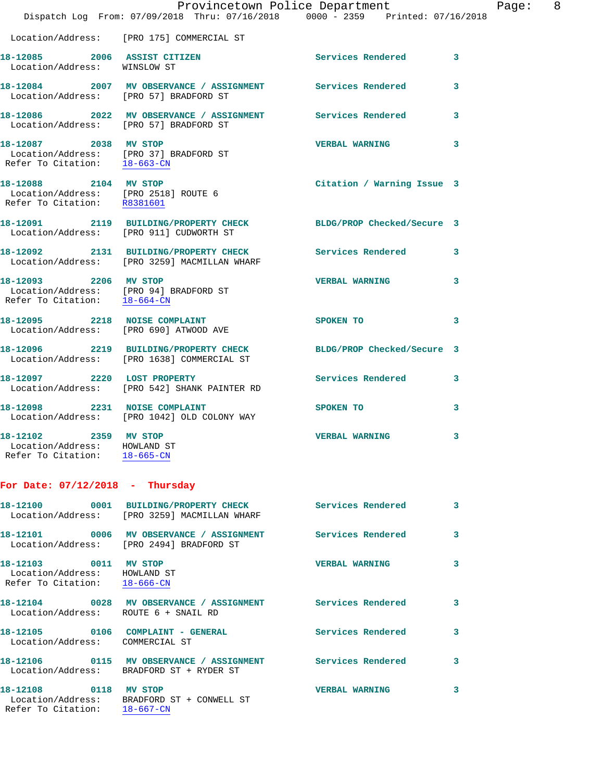|                                                                                       | Provincetown Police Department                                                                       |                            |   |
|---------------------------------------------------------------------------------------|------------------------------------------------------------------------------------------------------|----------------------------|---|
|                                                                                       | Dispatch Log From: 07/09/2018 Thru: 07/16/2018 0000 - 2359 Printed: 07/16/2018                       |                            |   |
|                                                                                       | Location/Address: [PRO 175] COMMERCIAL ST                                                            |                            |   |
| 18-12085 2006 ASSIST CITIZEN<br>Location/Address: WINSLOW ST                          |                                                                                                      | Services Rendered          | 3 |
|                                                                                       | 18-12084 2007 MV OBSERVANCE / ASSIGNMENT Services Rendered<br>Location/Address: [PRO 57] BRADFORD ST |                            | 3 |
|                                                                                       | 18-12086 2022 MV OBSERVANCE / ASSIGNMENT<br>Location/Address: [PRO 57] BRADFORD ST                   | <b>Services Rendered</b>   | 3 |
| 18-12087 2038 MV STOP<br>Refer To Citation: 18-663-CN                                 | Location/Address: [PRO 37] BRADFORD ST                                                               | <b>VERBAL WARNING</b>      | 3 |
| 18-12088 2104 MV STOP<br>Refer To Citation: R8381601                                  | Location/Address: [PRO 2518] ROUTE 6                                                                 | Citation / Warning Issue 3 |   |
|                                                                                       | 18-12091 2119 BUILDING/PROPERTY CHECK<br>Location/Address: [PRO 911] CUDWORTH ST                     | BLDG/PROP Checked/Secure 3 |   |
|                                                                                       | 18-12092 2131 BUILDING/PROPERTY CHECK<br>Location/Address: [PRO 3259] MACMILLAN WHARF                | <b>Services Rendered</b>   | 3 |
| 18-12093 2206 MV STOP<br>Refer To Citation: 18-664-CN                                 | Location/Address: [PRO 94] BRADFORD ST                                                               | <b>VERBAL WARNING</b>      | 3 |
|                                                                                       | 18-12095 2218 NOISE COMPLAINT<br>Location/Address: [PRO 690] ATWOOD AVE                              | <b>SPOKEN TO</b>           | 3 |
|                                                                                       | 18-12096 2219 BUILDING/PROPERTY CHECK<br>Location/Address: [PRO 1638] COMMERCIAL ST                  | BLDG/PROP Checked/Secure 3 |   |
| 18-12097 2220 LOST PROPERTY                                                           | Location/Address: [PRO 542] SHANK PAINTER RD                                                         | <b>Services Rendered</b>   | 3 |
|                                                                                       | 18-12098 2231 NOISE COMPLAINT<br>Location/Address: [PRO 1042] OLD COLONY WAY                         | SPOKEN TO                  | 3 |
| 18-12102 2359 MV STOP<br>Location/Address: HOWLAND ST<br>Refer To Citation: 18-665-CN |                                                                                                      | <b>VERBAL WARNING</b>      | 3 |
| For Date: $07/12/2018$ - Thursday                                                     |                                                                                                      |                            |   |

Page: 8

|                                                              | Location/Address: [PRO 3259] MACMILLAN WHARF                 | <b>Services Rendered</b> | $\mathbf{3}$ |
|--------------------------------------------------------------|--------------------------------------------------------------|--------------------------|--------------|
|                                                              | Location/Address: [PRO 2494] BRADFORD ST                     |                          | 3            |
| Location/Address: HOWLAND ST<br>Refer To Citation: 18-666-CN |                                                              | VERBAL WARNING           | 3            |
|                                                              | Location/Address: ROUTE 6 + SNAIL RD                         | <b>Services Rendered</b> | 3            |
| Location/Address: COMMERCIAL ST                              |                                                              | <b>Services Rendered</b> | 3            |
|                                                              | Location/Address: BRADFORD ST + RYDER ST                     | <b>Services Rendered</b> | 3            |
| 18-12108 0118<br>Refer To Citation: 18-667-CN                | <b>MV STOP</b><br>Location/Address: BRADFORD ST + CONWELL ST | <b>VERBAL WARNING</b>    | 3            |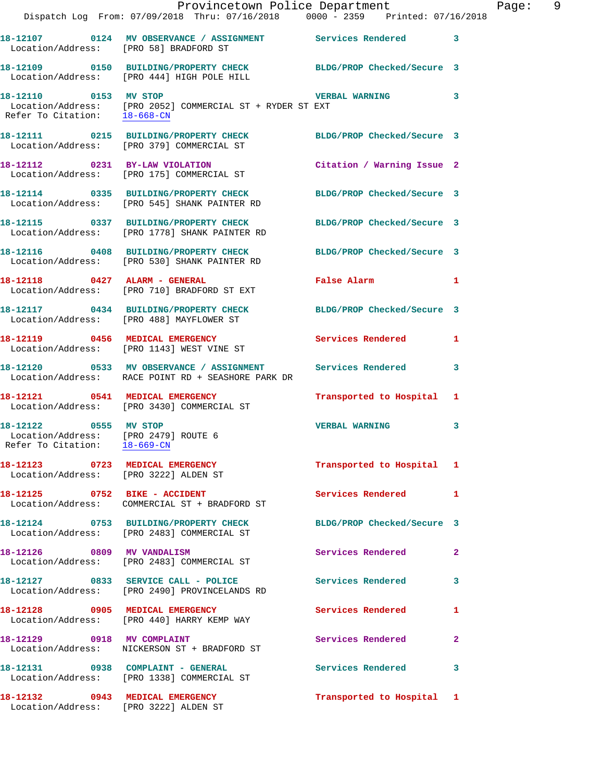|                                                                                               | Provincetown Police Department<br>Dispatch Log From: 07/09/2018 Thru: 07/16/2018   0000 - 2359   Printed: 07/16/2018                     |                            | Page: 9      |
|-----------------------------------------------------------------------------------------------|------------------------------------------------------------------------------------------------------------------------------------------|----------------------------|--------------|
| Location/Address: [PRO 58] BRADFORD ST                                                        | 18-12107 0124 MV OBSERVANCE / ASSIGNMENT Services Rendered 3                                                                             |                            |              |
|                                                                                               | 18-12109 0150 BUILDING/PROPERTY CHECK BLDG/PROP Checked/Secure 3<br>Location/Address: [PRO 444] HIGH POLE HILL                           |                            |              |
|                                                                                               | 18-12110 0153 MV STOP VERBAL WARNING<br>Location/Address: [PRO 2052] COMMERCIAL ST + RYDER ST EXT<br>Refer To Citation: <u>18-668-CN</u> |                            | $\mathbf{3}$ |
|                                                                                               | 18-12111 0215 BUILDING/PROPERTY CHECK BLDG/PROP Checked/Secure 3<br>Location/Address: [PRO 379] COMMERCIAL ST                            |                            |              |
|                                                                                               | 18-12112 0231 BY-LAW VIOLATION<br>Location/Address: [PRO 175] COMMERCIAL ST                                                              | Citation / Warning Issue 2 |              |
|                                                                                               | 18-12114 0335 BUILDING/PROPERTY CHECK BLDG/PROP Checked/Secure 3<br>Location/Address: [PRO 545] SHANK PAINTER RD                         |                            |              |
|                                                                                               | 18-12115 0337 BUILDING/PROPERTY CHECK BLDG/PROP Checked/Secure 3<br>Location/Address: [PRO 1778] SHANK PAINTER RD                        |                            |              |
|                                                                                               | 18-12116 0408 BUILDING/PROPERTY CHECK BLDG/PROP Checked/Secure 3<br>Location/Address: [PRO 530] SHANK PAINTER RD                         |                            |              |
|                                                                                               | 18-12118 0427 ALARM - GENERAL<br>Location/Address: [PRO 710] BRADFORD ST EXT                                                             | False Alarm 1              |              |
|                                                                                               | 18-12117 0434 BUILDING/PROPERTY CHECK BLDG/PROP Checked/Secure 3<br>Location/Address: [PRO 488] MAYFLOWER ST                             |                            |              |
|                                                                                               | 18-12119 0456 MEDICAL EMERGENCY Services Rendered 1<br>Location/Address: [PRO 1143] WEST VINE ST                                         |                            |              |
|                                                                                               | 18-12120 0533 MV OBSERVANCE / ASSIGNMENT Services Rendered<br>Location/Address: RACE POINT RD + SEASHORE PARK DR                         |                            | 3            |
|                                                                                               | 18-12121 0541 MEDICAL EMERGENCY<br>Location/Address: [PRO 3430] COMMERCIAL ST                                                            | Transported to Hospital 1  |              |
| 18-12122 0555 MV STOP<br>Location/Address: [PRO 2479] ROUTE 6<br>Refer To Citation: 18-669-CN |                                                                                                                                          | <b>VERBAL WARNING</b>      | 3            |
|                                                                                               | 18-12123 0723 MEDICAL EMERGENCY<br>Location/Address: [PRO 3222] ALDEN ST                                                                 | Transported to Hospital 1  |              |
|                                                                                               | 18-12125 0752 BIKE - ACCIDENT<br>Location/Address: COMMERCIAL ST + BRADFORD ST                                                           | Services Rendered 1        |              |
|                                                                                               | 18-12124 0753 BUILDING/PROPERTY CHECK BLDG/PROP Checked/Secure 3<br>Location/Address: [PRO 2483] COMMERCIAL ST                           |                            |              |
|                                                                                               | 18-12126 0809 MV VANDALISM<br>Location/Address: [PRO 2483] COMMERCIAL ST                                                                 | Services Rendered          | 2            |
|                                                                                               | 18-12127 0833 SERVICE CALL - POLICE Services Rendered<br>Location/Address: [PRO 2490] PROVINCELANDS RD                                   |                            | 3            |
|                                                                                               | 18-12128 0905 MEDICAL EMERGENCY<br>Location/Address: [PRO 440] HARRY KEMP WAY                                                            | Services Rendered 1        |              |
| 18-12129 0918 MV COMPLAINT                                                                    | Location/Address: NICKERSON ST + BRADFORD ST                                                                                             | Services Rendered          | $\mathbf{2}$ |
|                                                                                               | 18-12131 0938 COMPLAINT - GENERAL<br>Location/Address: [PRO 1338] COMMERCIAL ST                                                          | Services Rendered 3        |              |
| 18-12132 0943 MEDICAL EMERGENCY                                                               | Location/Address: [PRO 3222] ALDEN ST                                                                                                    | Transported to Hospital 1  |              |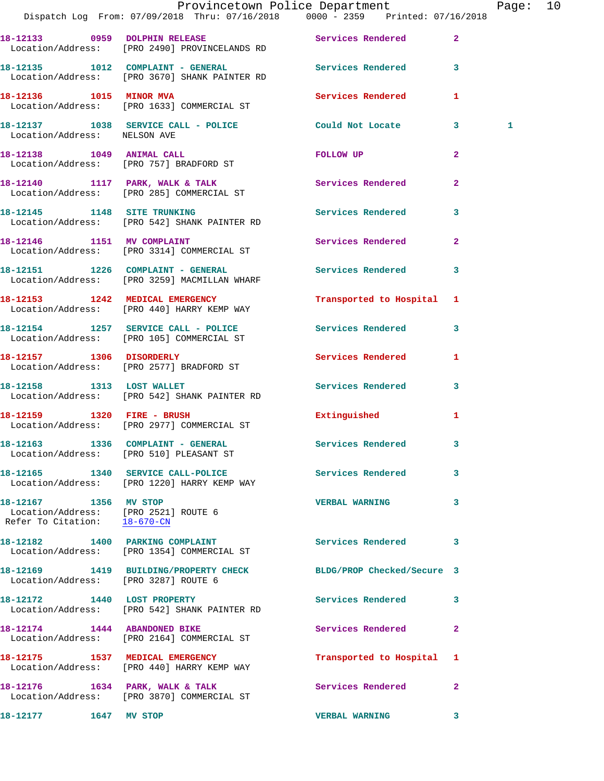|                                                       | Provincetown Police Department Fage: 10<br>Dispatch Log From: 07/09/2018 Thru: 07/16/2018   0000 - 2359   Printed: 07/16/2018 |                           |                |   |  |
|-------------------------------------------------------|-------------------------------------------------------------------------------------------------------------------------------|---------------------------|----------------|---|--|
|                                                       | 18-12133 0959 DOLPHIN RELEASE Services Rendered<br>Location/Address: [PRO 2490] PROVINCELANDS RD                              |                           | $\mathbf{2}$   |   |  |
|                                                       | 18-12135 1012 COMPLAINT - GENERAL Services Rendered 3<br>Location/Address: [PRO 3670] SHANK PAINTER RD                        |                           |                |   |  |
|                                                       | 18-12136 1015 MINOR MVA<br>Location/Address: [PRO 1633] COMMERCIAL ST                                                         | <b>Services Rendered</b>  | 1              |   |  |
| Location/Address: NELSON AVE                          | 18-12137 1038 SERVICE CALL - POLICE Could Not Locate 3                                                                        |                           |                | 1 |  |
|                                                       | 18-12138 1049 ANIMAL CALL<br>Location/Address: [PRO 757] BRADFORD ST                                                          | FOLLOW UP                 | $\mathbf{2}$   |   |  |
|                                                       | 18-12140 1117 PARK, WALK & TALK Services Rendered<br>Location/Address: [PRO 285] COMMERCIAL ST                                |                           | $\overline{2}$ |   |  |
|                                                       | 18-12145 1148 SITE TRUNKING<br>Location/Address: [PRO 542] SHANK PAINTER RD                                                   | Services Rendered         | $\mathbf{3}$   |   |  |
|                                                       | 18-12146 1151 MV COMPLAINT<br>Location/Address: [PRO 3314] COMMERCIAL ST                                                      | Services Rendered         | $\mathbf{2}$   |   |  |
|                                                       | 18-12151 1226 COMPLAINT - GENERAL<br>Location/Address: [PRO 3259] MACMILLAN WHARF                                             | Services Rendered 3       |                |   |  |
|                                                       | 18-12153 1242 MEDICAL EMERGENCY<br>Location/Address: [PRO 440] HARRY KEMP WAY                                                 | Transported to Hospital 1 |                |   |  |
|                                                       | 18-12154 1257 SERVICE CALL - POLICE 3 Services Rendered 3<br>Location/Address: [PRO 105] COMMERCIAL ST                        |                           |                |   |  |
|                                                       | 18-12157 1306 DISORDERLY<br>Location/Address: [PRO 2577] BRADFORD ST                                                          | Services Rendered         | 1              |   |  |
| 18-12158 1313 LOST WALLET                             | Location/Address: [PRO 542] SHANK PAINTER RD                                                                                  | Services Rendered 3       |                |   |  |
|                                                       | 18-12159 1320 FIRE - BRUSH<br>Location/Address: [PRO 2977] COMMERCIAL ST                                                      | Extinguished              | 1              |   |  |
|                                                       | 18-12163 1336 COMPLAINT - GENERAL<br>Location/Address: [PRO 510] PLEASANT ST                                                  | <b>Services Rendered</b>  |                |   |  |
|                                                       | 18-12165 1340 SERVICE CALL-POLICE 2008 Services Rendered<br>Location/Address: [PRO 1220] HARRY KEMP WAY                       |                           | 3              |   |  |
| 18-12167 1356 MV STOP<br>Refer To Citation: 18-670-CN | Location/Address: [PRO 2521] ROUTE 6                                                                                          | <b>VERBAL WARNING</b>     | 3              |   |  |
|                                                       | 18-12182 1400 PARKING COMPLAINT<br>Location/Address: [PRO 1354] COMMERCIAL ST                                                 | <b>Services Rendered</b>  | 3              |   |  |
| Location/Address: [PRO 3287] ROUTE 6                  | 18-12169 1419 BUILDING/PROPERTY CHECK BLDG/PROP Checked/Secure 3                                                              |                           |                |   |  |
|                                                       | 18-12172 1440 LOST PROPERTY<br>Location/Address: [PRO 542] SHANK PAINTER RD                                                   | Services Rendered         | 3              |   |  |
| 18-12174 1444 ABANDONED BIKE                          | Location/Address: [PRO 2164] COMMERCIAL ST                                                                                    | Services Rendered         | $\mathbf{2}$   |   |  |
|                                                       | 18-12175 1537 MEDICAL EMERGENCY<br>Location/Address: [PRO 440] HARRY KEMP WAY                                                 | Transported to Hospital 1 |                |   |  |
|                                                       | 18-12176    1634    PARK, WALK & TALK<br>Location/Address: [PRO 3870] COMMERCIAL ST                                           | Services Rendered         | $\mathbf{2}$   |   |  |
| 18-12177 1647 MV STOP                                 |                                                                                                                               | <b>VERBAL WARNING</b>     | 3              |   |  |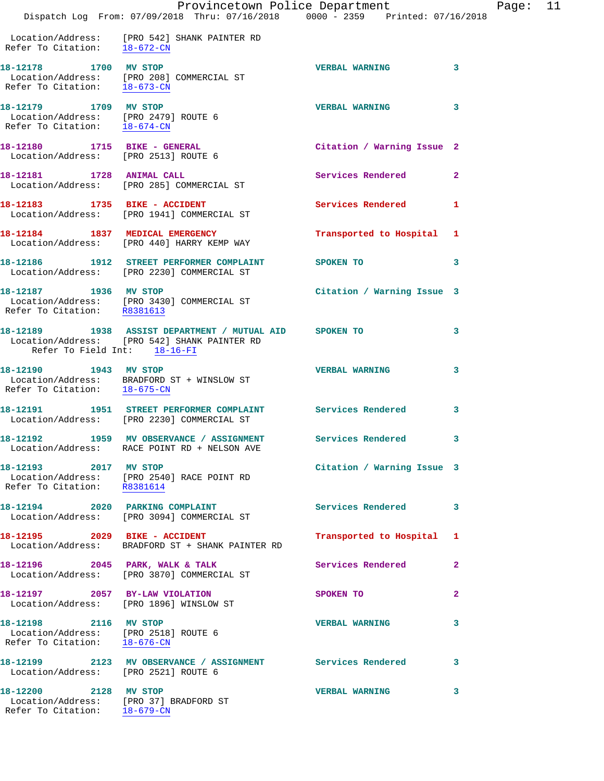|                                                                                                            | Dispatch Log From: 07/09/2018 Thru: 07/16/2018 0000 - 2359 Printed: 07/16/2018                                                                   | Provincetown Police Department |              | Page: | 11 |
|------------------------------------------------------------------------------------------------------------|--------------------------------------------------------------------------------------------------------------------------------------------------|--------------------------------|--------------|-------|----|
| Refer To Citation: 18-672-CN                                                                               | Location/Address: [PRO 542] SHANK PAINTER RD                                                                                                     |                                |              |       |    |
| 18-12178 1700 MV STOP                                                                                      | Location/Address: [PRO 208] COMMERCIAL ST<br>Refer To Citation: $\frac{18-673-CN}{\sqrt{18-673-CN}}$                                             | <b>VERBAL WARNING</b>          | 3            |       |    |
| 18-12179 1709 MV STOP<br>Location/Address: [PRO 2479] ROUTE 6<br>Refer To Citation: $\frac{18-674-CN}{18}$ |                                                                                                                                                  | <b>VERBAL WARNING</b>          | 3            |       |    |
| 18-12180 1715 BIKE - GENERAL<br>Location/Address: [PRO 2513] ROUTE 6                                       |                                                                                                                                                  | Citation / Warning Issue 2     |              |       |    |
|                                                                                                            | 18-12181 1728 ANIMAL CALL<br>Location/Address: [PRO 285] COMMERCIAL ST                                                                           | Services Rendered 2            |              |       |    |
|                                                                                                            | 18-12183 1735 BIKE - ACCIDENT<br>Location/Address: [PRO 1941] COMMERCIAL ST                                                                      | Services Rendered              | -1           |       |    |
|                                                                                                            | 18-12184 1837 MEDICAL EMERGENCY<br>Location/Address: [PRO 440] HARRY KEMP WAY                                                                    | Transported to Hospital 1      |              |       |    |
|                                                                                                            | 18-12186 1912 STREET PERFORMER COMPLAINT<br>Location/Address: [PRO 2230] COMMERCIAL ST                                                           | <b>SPOKEN TO</b>               | 3            |       |    |
| 18-12187 1936 MV STOP                                                                                      | Location/Address: [PRO 3430] COMMERCIAL ST<br>Refer To Citation: R8381613                                                                        | Citation / Warning Issue 3     |              |       |    |
| Refer To Field Int: 18-16-FI                                                                               | 18-12189 1938 ASSIST DEPARTMENT / MUTUAL AID SPOKEN TO<br>Location/Address: [PRO 542] SHANK PAINTER RD                                           |                                | 3            |       |    |
| 18-12190 1943 MV STOP<br>Refer To Citation: 18-675-CN                                                      | Location/Address: BRADFORD ST + WINSLOW ST                                                                                                       | <b>VERBAL WARNING</b>          | 3            |       |    |
|                                                                                                            | 18-12191 1951 STREET PERFORMER COMPLAINT Services Rendered 3<br>Location/Address: [PRO 2230] COMMERCIAL ST                                       |                                |              |       |    |
|                                                                                                            | 18-12192                1959    MV  OBSERVANCE  /  ASSIGNMENT                 Services  Rendered<br>Location/Address: RACE POINT RD + NELSON AVE |                                | 3            |       |    |
| 18-12193 2017 MV STOP                                                                                      | Location/Address: [PRO 2540] RACE POINT RD<br>Refer To Citation: R8381614                                                                        | Citation / Warning Issue 3     |              |       |    |
|                                                                                                            | 18-12194 2020 PARKING COMPLAINT<br>Location/Address: [PRO 3094] COMMERCIAL ST                                                                    | Services Rendered              | 3            |       |    |
|                                                                                                            | 18-12195  2029 BIKE - ACCIDENT<br>Location/Address: BRADFORD ST + SHANK PAINTER RD                                                               | Transported to Hospital 1      |              |       |    |
|                                                                                                            | 18-12196 2045 PARK, WALK & TALK<br>Location/Address: [PRO 3870] COMMERCIAL ST                                                                    | Services Rendered              | $\mathbf{2}$ |       |    |
|                                                                                                            | 18-12197 2057 BY-LAW VIOLATION<br>Location/Address: [PRO 1896] WINSLOW ST                                                                        | SPOKEN TO                      | $\mathbf{2}$ |       |    |
| 18-12198 2116 MV STOP<br>Location/Address: [PRO 2518] ROUTE 6<br>Refer To Citation: 18-676-CN              |                                                                                                                                                  | <b>VERBAL WARNING</b>          | 3            |       |    |
| Location/Address: [PRO 2521] ROUTE 6                                                                       | 18-12199 2123 MV OBSERVANCE / ASSIGNMENT Services Rendered                                                                                       |                                | 3            |       |    |
| 18-12200 2128 MV STOP                                                                                      | Location/Address: [PRO 37] BRADFORD ST                                                                                                           | <b>VERBAL WARNING</b>          | 3            |       |    |

Refer To Citation: 18-679-CN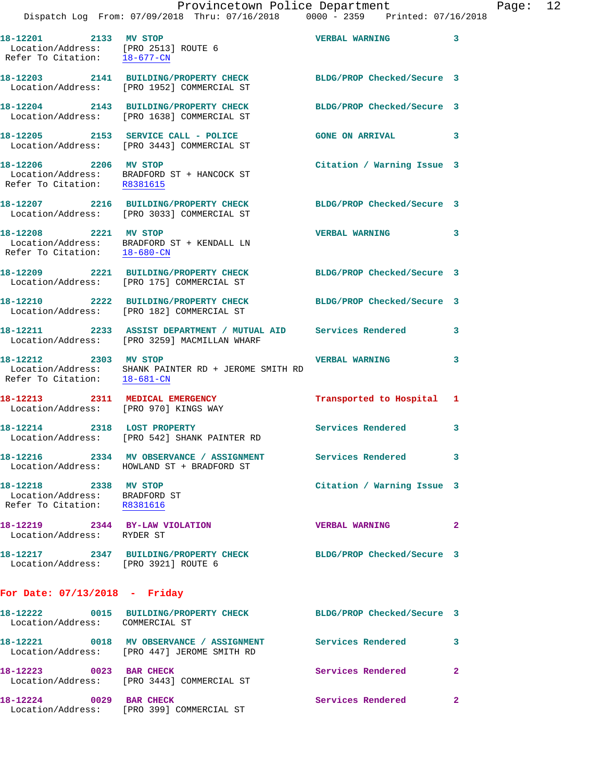|                                                                                       | Provincetown Police Department<br>Dispatch Log From: 07/09/2018 Thru: 07/16/2018   0000 - 2359   Printed: 07/16/2018               |                            |              |
|---------------------------------------------------------------------------------------|------------------------------------------------------------------------------------------------------------------------------------|----------------------------|--------------|
| 18-12201 2133 MV STOP<br>Refer To Citation: 18-677-CN                                 | Location/Address: [PRO 2513] ROUTE 6                                                                                               | <b>VERBAL WARNING</b>      | 3            |
|                                                                                       | 18-12203 2141 BUILDING/PROPERTY CHECK BLDG/PROP Checked/Secure 3<br>Location/Address: [PRO 1952] COMMERCIAL ST                     |                            |              |
|                                                                                       | 18-12204 2143 BUILDING/PROPERTY CHECK<br>Location/Address: [PRO 1638] COMMERCIAL ST                                                | BLDG/PROP Checked/Secure 3 |              |
|                                                                                       | 18-12205 2153 SERVICE CALL - POLICE<br>Location/Address: [PRO 3443] COMMERCIAL ST                                                  | <b>GONE ON ARRIVAL</b>     | 3            |
| Refer To Citation: R8381615                                                           | 18-12206 2206 MV STOP<br>Location/Address: BRADFORD ST + HANCOCK ST                                                                | Citation / Warning Issue 3 |              |
|                                                                                       | 18-12207 2216 BUILDING/PROPERTY CHECK BLDG/PROP Checked/Secure 3<br>Location/Address: [PRO 3033] COMMERCIAL ST                     |                            |              |
| 18-12208 2221 MV STOP                                                                 | $\begin{tabular}{ll} Location/Address: & \tt BRADFORD ST + KENDALL LN \\ Refer To citation: & \underline{18-680-CN} \end{tabular}$ | <b>VERBAL WARNING</b>      | 3            |
|                                                                                       | 18-12209 2221 BUILDING/PROPERTY CHECK<br>Location/Address: [PRO 175] COMMERCIAL ST                                                 | BLDG/PROP Checked/Secure 3 |              |
|                                                                                       | 18-12210 2222 BUILDING/PROPERTY CHECK BLDG/PROP Checked/Secure 3<br>Location/Address: [PRO 182] COMMERCIAL ST                      |                            |              |
|                                                                                       |                                                                                                                                    |                            | 3            |
| 18-12212 2303 MV STOP<br>Refer To Citation: 18-681-CN                                 | Location/Address: SHANK PAINTER RD + JEROME SMITH RD                                                                               | <b>VERBAL WARNING</b>      | 3            |
| Location/Address: [PRO 970] KINGS WAY                                                 | 18-12213 2311 MEDICAL EMERGENCY                                                                                                    | Transported to Hospital 1  |              |
|                                                                                       | 18-12214 2318 LOST PROPERTY<br>Location/Address: [PRO 542] SHANK PAINTER RD                                                        | <b>Services Rendered</b>   | 3            |
|                                                                                       | 18-12216 2334 MV OBSERVANCE / ASSIGNMENT Services Rendered<br>Location/Address: HOWLAND ST + BRADFORD ST                           |                            | 3            |
| 18-12218 2338 MV STOP<br>Location/Address: BRADFORD ST<br>Refer To Citation: R8381616 |                                                                                                                                    | Citation / Warning Issue 3 |              |
| 18-12219 2344 BY-LAW VIOLATION<br>Location/Address: RYDER ST                          |                                                                                                                                    | <b>VERBAL WARNING</b>      | $\mathbf{2}$ |
| Location/Address: [PRO 3921] ROUTE 6                                                  | 18-12217 2347 BUILDING/PROPERTY CHECK BLDG/PROP Checked/Secure 3                                                                   |                            |              |
| For Date: $07/13/2018$ - Friday                                                       |                                                                                                                                    |                            |              |
| Location/Address: COMMERCIAL ST                                                       | 18-12222 0015 BUILDING/PROPERTY CHECK                                                                                              | BLDG/PROP Checked/Secure 3 |              |
|                                                                                       | 18-12221  0018 MV OBSERVANCE / ASSIGNMENT Services Rendered<br>Location/Address: [PRO 447] JEROME SMITH RD                         |                            | 3            |

 Location/Address: [PRO 3443] COMMERCIAL ST **18-12224 0029 BAR CHECK Services Rendered 2**  Location/Address: [PRO 399] COMMERCIAL ST

**18-12223 0023 BAR CHECK Services Rendered 2** 

Page: 12<br>18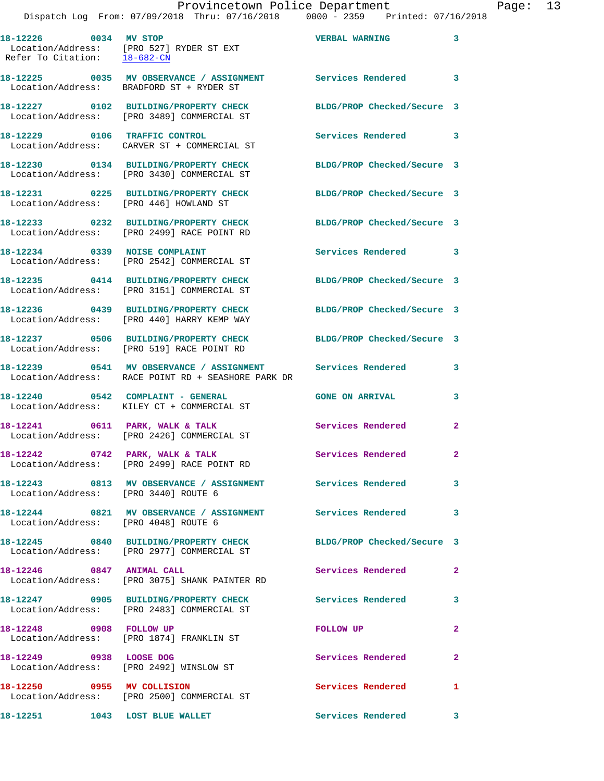|                                        | 18-12226 0034 MV STOP<br>Location/Address: [PRO 527] RYDER ST EXT<br>Refer To Citation: 18-682-CN | <b>VERBAL WARNING</b>      | 3            |
|----------------------------------------|---------------------------------------------------------------------------------------------------|----------------------------|--------------|
|                                        | Location/Address: BRADFORD ST + RYDER ST                                                          |                            | 3            |
|                                        | 18-12227 0102 BUILDING/PROPERTY CHECK<br>Location/Address: [PRO 3489] COMMERCIAL ST               | BLDG/PROP Checked/Secure 3 |              |
|                                        | 18-12229 0106 TRAFFIC CONTROL<br>Location/Address: CARVER ST + COMMERCIAL ST                      | Services Rendered          | 3            |
|                                        | 18-12230 0134 BUILDING/PROPERTY CHECK<br>Location/Address: [PRO 3430] COMMERCIAL ST               | BLDG/PROP Checked/Secure 3 |              |
| Location/Address: [PRO 446] HOWLAND ST | 18-12231 0225 BUILDING/PROPERTY CHECK                                                             | BLDG/PROP Checked/Secure 3 |              |
|                                        | 18-12233 0232 BUILDING/PROPERTY CHECK<br>Location/Address: [PRO 2499] RACE POINT RD               | BLDG/PROP Checked/Secure 3 |              |
|                                        | 18-12234 0339 NOISE COMPLAINT<br>Location/Address: [PRO 2542] COMMERCIAL ST                       | Services Rendered          | 3            |
|                                        | 18-12235 0414 BUILDING/PROPERTY CHECK<br>Location/Address: [PRO 3151] COMMERCIAL ST               | BLDG/PROP Checked/Secure 3 |              |
|                                        | 18-12236 0439 BUILDING/PROPERTY CHECK<br>Location/Address: [PRO 440] HARRY KEMP WAY               | BLDG/PROP Checked/Secure 3 |              |
|                                        | 18-12237 0506 BUILDING/PROPERTY CHECK<br>Location/Address: [PRO 519] RACE POINT RD                | BLDG/PROP Checked/Secure 3 |              |
|                                        | 18-12239 0541 MV OBSERVANCE / ASSIGNMENT<br>Location/Address: RACE POINT RD + SEASHORE PARK DR    | Services Rendered          | 3            |
| 18-12240 0542 COMPLAINT - GENERAL      | Location/Address: KILEY CT + COMMERCIAL ST                                                        | <b>GONE ON ARRIVAL</b>     | 3            |
|                                        | 18-12241 0611 PARK, WALK & TALK<br>Location/Address: [PRO 2426] COMMERCIAL ST                     | Services Rendered          | $\mathbf{2}$ |
| 18-12242 0742 PARK, WALK & TALK        | Location/Address: [PRO 2499] RACE POINT RD                                                        | Services Rendered          | 2            |
| Location/Address: [PRO 3440] ROUTE 6   | 18-12243 0813 MV OBSERVANCE / ASSIGNMENT Services Rendered                                        |                            | 3            |
| Location/Address: [PRO 4048] ROUTE 6   | 18-12244 0821 MV OBSERVANCE / ASSIGNMENT Services Rendered                                        |                            | 3            |
|                                        | 18-12245 0840 BUILDING/PROPERTY CHECK<br>Location/Address: [PRO 2977] COMMERCIAL ST               | BLDG/PROP Checked/Secure 3 |              |
| 18-12246 0847 ANIMAL CALL              | Location/Address: [PRO 3075] SHANK PAINTER RD                                                     | Services Rendered          | $\mathbf{2}$ |
|                                        | 18-12247 0905 BUILDING/PROPERTY CHECK<br>Location/Address: [PRO 2483] COMMERCIAL ST               | <b>Services Rendered</b>   | 3            |
| 18-12248 0908 FOLLOW UP                | Location/Address: [PRO 1874] FRANKLIN ST                                                          | <b>FOLLOW UP</b>           | 2            |
| 18-12249 0938 LOOSE DOG                | Location/Address: [PRO 2492] WINSLOW ST                                                           | Services Rendered          | 2            |
| 18-12250 0955 MV COLLISION             | Location/Address: [PRO 2500] COMMERCIAL ST                                                        | Services Rendered          | 1            |

18-12251 1043 LOST BLUE WALLET Services Rendered 3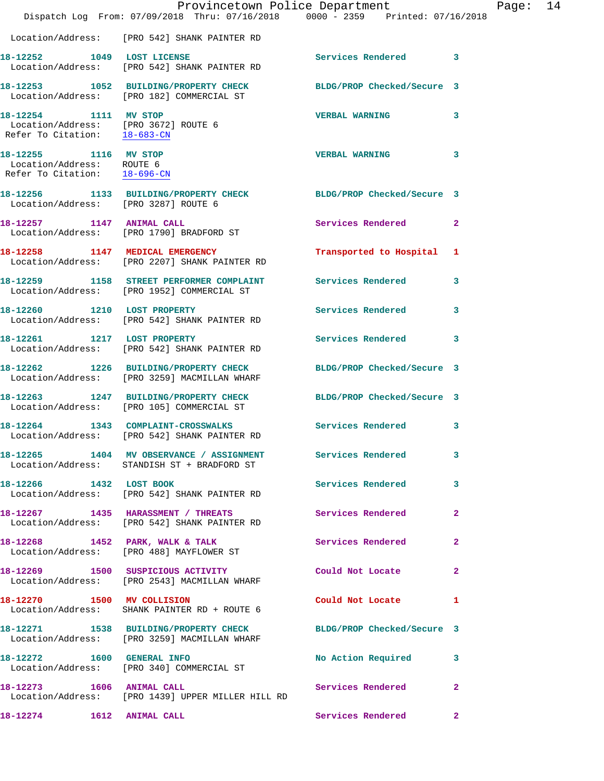|                                                                                    | Dispatch Log From: 07/09/2018 Thru: 07/16/2018 0000 - 2359 Printed: 07/16/2018                                   | Provincetown Police Department |              | Page: 14 |  |
|------------------------------------------------------------------------------------|------------------------------------------------------------------------------------------------------------------|--------------------------------|--------------|----------|--|
|                                                                                    | Location/Address: [PRO 542] SHANK PAINTER RD                                                                     |                                |              |          |  |
|                                                                                    | 18-12252 1049 LOST LICENSE<br>Location/Address: [PRO 542] SHANK PAINTER RD                                       | Services Rendered 3            |              |          |  |
|                                                                                    | 18-12253 1052 BUILDING/PROPERTY CHECK BLDG/PROP Checked/Secure 3<br>Location/Address: [PRO 182] COMMERCIAL ST    |                                |              |          |  |
| 18-12254 1111 MV STOP                                                              | Location/Address: [PRO 3672] ROUTE 6<br>Refer To Citation: 18-683-CN                                             | VERBAL WARNING 3               |              |          |  |
| 18-12255 1116 MV STOP<br>Location/Address: ROUTE 6<br>Refer To Citation: 18-696-CN |                                                                                                                  | <b>VERBAL WARNING</b>          | 3            |          |  |
| Location/Address: [PRO 3287] ROUTE 6                                               | 18-12256 1133 BUILDING/PROPERTY CHECK BLDG/PROP Checked/Secure 3                                                 |                                |              |          |  |
|                                                                                    | 18-12257 1147 ANIMAL CALL<br>Location/Address: [PRO 1790] BRADFORD ST                                            | Services Rendered 2            |              |          |  |
|                                                                                    | 18-12258 1147 MEDICAL EMERGENCY<br>Location/Address: [PRO 2207] SHANK PAINTER RD                                 | Transported to Hospital 1      |              |          |  |
|                                                                                    | 18-12259 1158 STREET PERFORMER COMPLAINT Services Rendered 3<br>Location/Address: [PRO 1952] COMMERCIAL ST       |                                |              |          |  |
|                                                                                    | 18-12260 1210 LOST PROPERTY<br>Location/Address: [PRO 542] SHANK PAINTER RD                                      | Services Rendered              | $\mathbf{3}$ |          |  |
| 18-12261 1217 LOST PROPERTY                                                        | Location/Address: [PRO 542] SHANK PAINTER RD                                                                     | Services Rendered 3            |              |          |  |
|                                                                                    | 18-12262 1226 BUILDING/PROPERTY CHECK<br>Location/Address: [PRO 3259] MACMILLAN WHARF                            | BLDG/PROP Checked/Secure 3     |              |          |  |
|                                                                                    | 18-12263 1247 BUILDING/PROPERTY CHECK BLDG/PROP Checked/Secure 3<br>Location/Address: [PRO 105] COMMERCIAL ST    |                                |              |          |  |
|                                                                                    | 18-12264 1343 COMPLAINT-CROSSWALKS Services Rendered 3<br>Location/Address: [PRO 542] SHANK PAINTER RD           |                                |              |          |  |
|                                                                                    | 18-12265 1404 MV OBSERVANCE / ASSIGNMENT Services Rendered 3<br>Location/Address: STANDISH ST + BRADFORD ST      |                                |              |          |  |
|                                                                                    | 18-12266 1432 LOST BOOK<br>Location/Address: [PRO 542] SHANK PAINTER RD                                          | Services Rendered 3            |              |          |  |
|                                                                                    | 18-12267 1435 HARASSMENT / THREATS Services Rendered 2<br>Location/Address: [PRO 542] SHANK PAINTER RD           |                                |              |          |  |
|                                                                                    | 18-12268 1452 PARK, WALK & TALK<br>Location/Address: [PRO 488] MAYFLOWER ST                                      | Services Rendered              | $\mathbf{2}$ |          |  |
|                                                                                    | 18-12269 1500 SUSPICIOUS ACTIVITY 1990 Could Not Locate<br>Location/Address: [PRO 2543] MACMILLAN WHARF          |                                | $\mathbf{2}$ |          |  |
|                                                                                    | 18-12270 1500 MV COLLISION<br>Location/Address: SHANK PAINTER RD + ROUTE 6                                       | Could Not Locate 1             |              |          |  |
|                                                                                    | 18-12271 1538 BUILDING/PROPERTY CHECK BLDG/PROP Checked/Secure 3<br>Location/Address: [PRO 3259] MACMILLAN WHARF |                                |              |          |  |
|                                                                                    | 18-12272 1600 GENERAL INFO<br>Location/Address: [PRO 340] COMMERCIAL ST                                          | No Action Required 3           |              |          |  |
| 18-12273 1606 ANIMAL CALL                                                          | Location/Address: [PRO 1439] UPPER MILLER HILL RD                                                                | Services Rendered              | $\mathbf{2}$ |          |  |
| 18-12274 1612 ANIMAL CALL                                                          |                                                                                                                  | Services Rendered 2            |              |          |  |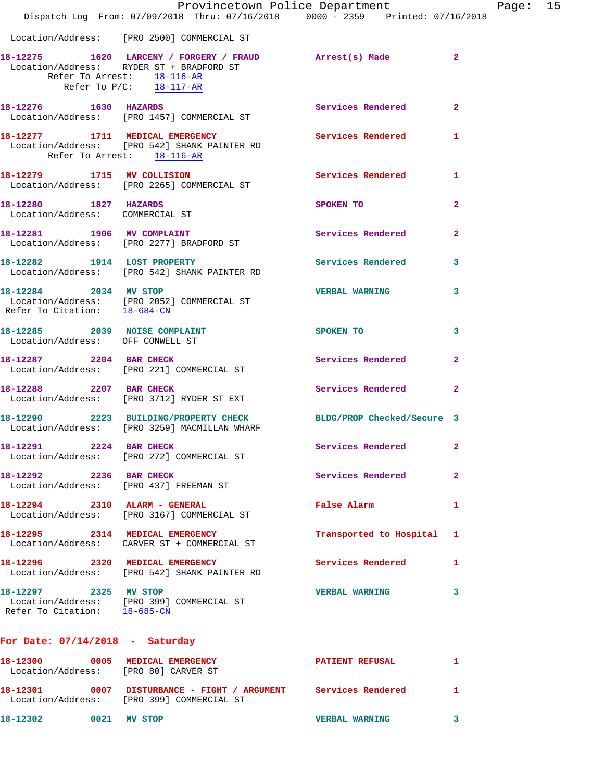|                                                                   |                                                                                                                                                                               | Provincetown Police Department |              | Page: 15 |  |
|-------------------------------------------------------------------|-------------------------------------------------------------------------------------------------------------------------------------------------------------------------------|--------------------------------|--------------|----------|--|
|                                                                   | Dispatch Log From: 07/09/2018 Thru: 07/16/2018 0000 - 2359 Printed: 07/16/2018                                                                                                |                                |              |          |  |
|                                                                   | Location/Address: [PRO 2500] COMMERCIAL ST                                                                                                                                    |                                |              |          |  |
|                                                                   | 18-12275 1620 LARCENY / FORGERY / FRAUD Arrest(s) Made 2<br>Location/Address: RYDER ST + BRADFORD ST<br>Refer To Arrest: 18-116-AR<br>Refer To $P/C$ : $\overline{18-117-AR}$ |                                |              |          |  |
|                                                                   | 18-12276 1630 HAZARDS<br>Location/Address: [PRO 1457] COMMERCIAL ST                                                                                                           | Services Rendered 2            |              |          |  |
| Refer To Arrest: 18-116-AR                                        | 18-12277 1711 MEDICAL EMERGENCY<br>Location/Address: [PRO 542] SHANK PAINTER RD                                                                                               | <b>Services Rendered</b>       | 1            |          |  |
|                                                                   | 18-12279 1715 MV COLLISION<br>Location/Address: [PRO 2265] COMMERCIAL ST                                                                                                      | Services Rendered 1            |              |          |  |
| 18-12280 1827 HAZARDS<br>Location/Address: COMMERCIAL ST          |                                                                                                                                                                               | SPOKEN TO                      | $\mathbf{2}$ |          |  |
|                                                                   | 18-12281 1906 MV COMPLAINT<br>Location/Address: [PRO 2277] BRADFORD ST                                                                                                        | Services Rendered              | $\mathbf{2}$ |          |  |
|                                                                   | 18-12282 1914 LOST PROPERTY<br>Location/Address: [PRO 542] SHANK PAINTER RD                                                                                                   | Services Rendered 3            |              |          |  |
|                                                                   | 18-12284 2034 MV STOP<br>Location/Address: [PRO 2052] COMMERCIAL ST<br>Refer To Citation: $\frac{18-684-CN}{18-684-CN}$                                                       | <b>VERBAL WARNING</b>          | 3            |          |  |
| 18-12285 2039 NOISE COMPLAINT<br>Location/Address: OFF CONWELL ST |                                                                                                                                                                               | <b>SPOKEN TO</b>               | 3            |          |  |
|                                                                   | 18-12287 2204 BAR CHECK<br>Location/Address: [PRO 221] COMMERCIAL ST                                                                                                          | Services Rendered              | $\mathbf{2}$ |          |  |
| 18-12288 2207 BAR CHECK                                           | Location/Address: [PRO 3712] RYDER ST EXT                                                                                                                                     | Services Rendered 2            |              |          |  |
|                                                                   | 18-12290 2223 BUILDING/PROPERTY CHECK BLDG/PROP Checked/Secure 3<br>Location/Address: [PRO 3259] MACMILLAN WHARF                                                              |                                |              |          |  |
| 18-12291 2224 BAR CHECK                                           | Location/Address: [PRO 272] COMMERCIAL ST                                                                                                                                     | Services Rendered              | $\mathbf{2}$ |          |  |
| 18-12292 2236 BAR CHECK                                           | Location/Address: [PRO 437] FREEMAN ST                                                                                                                                        | Services Rendered              | $\mathbf{2}$ |          |  |
|                                                                   | 18-12294 2310 ALARM - GENERAL<br>Location/Address: [PRO 3167] COMMERCIAL ST                                                                                                   | False Alarm <b>Execute 19</b>  | 1            |          |  |
|                                                                   | 18-12295 2314 MEDICAL EMERGENCY<br>Location/Address: CARVER ST + COMMERCIAL ST                                                                                                | Transported to Hospital 1      |              |          |  |
|                                                                   | 18-12296 2320 MEDICAL EMERGENCY<br>Location/Address: [PRO 542] SHANK PAINTER RD                                                                                               | Services Rendered 1            |              |          |  |
| 18-12297 2325 MV STOP<br>Refer To Citation: 18-685-CN             | Location/Address: [PRO 399] COMMERCIAL ST                                                                                                                                     | <b>VERBAL WARNING</b>          | 3            |          |  |
| For Date: $07/14/2018$ - Saturday                                 |                                                                                                                                                                               |                                |              |          |  |
| Location/Address: [PRO 80] CARVER ST                              | 18-12300 0005 MEDICAL EMERGENCY                                                                                                                                               | <b>PATIENT REFUSAL</b>         | 1            |          |  |
|                                                                   |                                                                                                                                                                               |                                |              |          |  |

Location/Address: [PRO 399] COMMERCIAL ST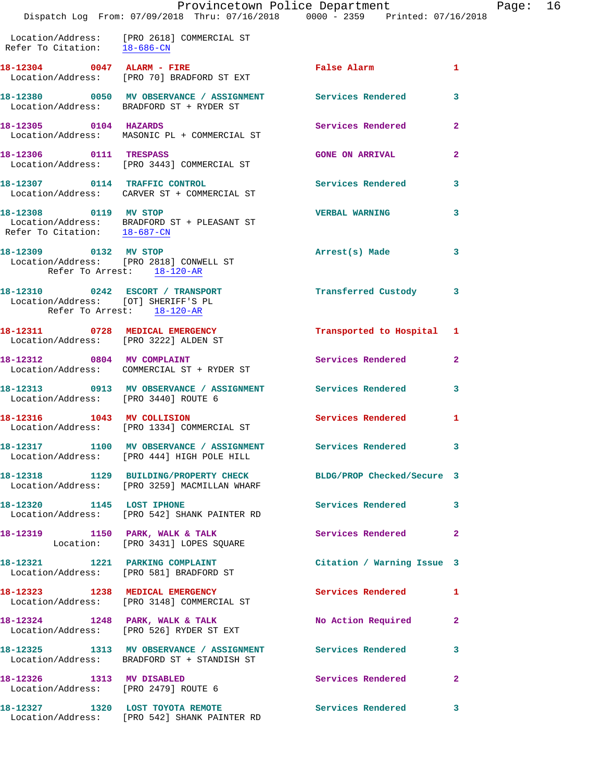Location/Address: [PRO 2618] COMMERCIAL ST Refer To Citation: 18-686-CN

18-12304 0047 ALARM - FIRE False Alarm 1 Location/Address: [PRO 70] BRADFORD ST EXT **18-12380 0050 MV OBSERVANCE / ASSIGNMENT Services Rendered 3**  Location/Address: BRADFORD ST + RYDER ST **18-12305 0104 HAZARDS Services Rendered 2**  Location/Address: MASONIC PL + COMMERCIAL ST **18-12306 0111 TRESPASS GONE ON ARRIVAL 2**  Location/Address: [PRO 3443] COMMERCIAL ST **18-12307 0114 TRAFFIC CONTROL Services Rendered 3**  Location/Address: CARVER ST + COMMERCIAL ST **18-12308 0119 MV STOP VERBAL WARNING 3**  Location/Address: BRADFORD ST + PLEASANT ST Refer To Citation: 18-687-CN **18-12309 0132 MV STOP Arrest(s) Made 3**  Location/Address: [PRO 2818] CONWELL ST Refer To Arrest: 18-120-AR **18-12310 0242 ESCORT / TRANSPORT Transferred Custody 3**  Location/Address: [OT] SHERIFF'S PL Refer To Arrest: 18-120-AR **18-12311 0728 MEDICAL EMERGENCY Transported to Hospital 1**  Location/Address: [PRO 3222] ALDEN ST 18-12312 0804 MV COMPLAINT Services Rendered 2 Location/Address: COMMERCIAL ST + RYDER ST **18-12313 0913 MV OBSERVANCE / ASSIGNMENT Services Rendered 3**  Location/Address: [PRO 3440] ROUTE 6 **18-12316 1043 MV COLLISION Services Rendered 1**  Location/Address: [PRO 1334] COMMERCIAL ST **18-12317 1100 MV OBSERVANCE / ASSIGNMENT Services Rendered 3**  Location/Address: [PRO 444] HIGH POLE HILL **18-12318 1129 BUILDING/PROPERTY CHECK BLDG/PROP Checked/Secure 3**  Location/Address: [PRO 3259] MACMILLAN WHARF **18-12320 1145 LOST IPHONE Services Rendered 3**  Location/Address: [PRO 542] SHANK PAINTER RD **18-12319 1150 PARK, WALK & TALK Services Rendered 2**  Location: [PRO 3431] LOPES SQUARE **18-12321 1221 PARKING COMPLAINT Citation / Warning Issue 3**  Location/Address: [PRO 581] BRADFORD ST **18-12323 1238 MEDICAL EMERGENCY Services Rendered 1**  Location/Address: [PRO 3148] COMMERCIAL ST 18-12324 1248 PARK, WALK & TALK 18 No Action Required 2 Location/Address: [PRO 526] RYDER ST EXT **18-12325 1313 MV OBSERVANCE / ASSIGNMENT Services Rendered 3**  Location/Address: BRADFORD ST + STANDISH ST **18-12326 1313 MV DISABLED Services Rendered 2**  Location/Address: [PRO 2479] ROUTE 6 **18-12327 1320 LOST TOYOTA REMOTE Services Rendered 3**  Location/Address: [PRO 542] SHANK PAINTER RD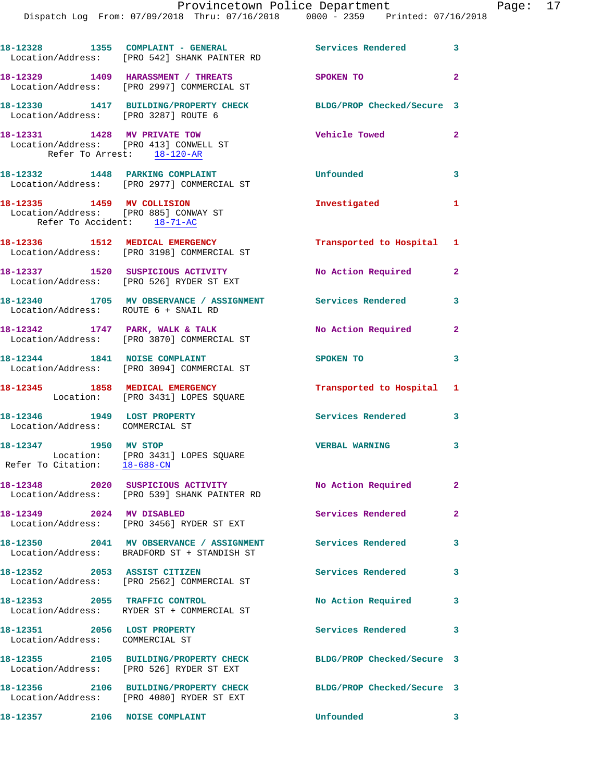|                                                                                                    | 18-12328 1355 COMPLAINT - GENERAL<br>Location/Address: [PRO 542] SHANK PAINTER RD                            | Services Rendered 3        |                         |
|----------------------------------------------------------------------------------------------------|--------------------------------------------------------------------------------------------------------------|----------------------------|-------------------------|
|                                                                                                    | 18-12329 1409 HARASSMENT / THREATS<br>Location/Address: [PRO 2997] COMMERCIAL ST                             | SPOKEN TO                  | $\overline{\mathbf{2}}$ |
| Location/Address: [PRO 3287] ROUTE 6                                                               | 18-12330 1417 BUILDING/PROPERTY CHECK                                                                        | BLDG/PROP Checked/Secure 3 |                         |
| 18-12331 1428 MV PRIVATE TOW<br>Location/Address: [PRO 413] CONWELL ST                             | Refer To Arrest: 18-120-AR                                                                                   | <b>Vehicle Towed</b>       | $\mathbf{2}$            |
|                                                                                                    | 18-12332 1448 PARKING COMPLAINT<br>Location/Address: [PRO 2977] COMMERCIAL ST                                | Unfounded                  | $\overline{\mathbf{3}}$ |
| 18-12335 1459 MV COLLISION<br>Location/Address: [PRO 885] CONWAY ST<br>Refer To Accident: 18-71-AC |                                                                                                              | Investigated               | 1                       |
|                                                                                                    | 18-12336 1512 MEDICAL EMERGENCY<br>Location/Address: [PRO 3198] COMMERCIAL ST                                | Transported to Hospital 1  |                         |
|                                                                                                    | 18-12337 1520 SUSPICIOUS ACTIVITY<br>Location/Address: [PRO 526] RYDER ST EXT                                | No Action Required         | $\overline{2}$          |
| Location/Address: ROUTE 6 + SNAIL RD                                                               | 18-12340 1705 MV OBSERVANCE / ASSIGNMENT Services Rendered                                                   |                            | 3                       |
|                                                                                                    | 18-12342 1747 PARK, WALK & TALK<br>Location/Address: [PRO 3870] COMMERCIAL ST                                | No Action Required 2       |                         |
| 18-12344 1841 NOISE COMPLAINT                                                                      | Location/Address: [PRO 3094] COMMERCIAL ST                                                                   | SPOKEN TO                  | 3                       |
|                                                                                                    | 18-12345 1858 MEDICAL EMERGENCY<br>Location: [PRO 3431] LOPES SQUARE                                         | Transported to Hospital 1  |                         |
| 18-12346 1949 LOST PROPERTY<br>Location/Address: COMMERCIAL ST                                     |                                                                                                              | Services Rendered 3        |                         |
| 18-12347 1950 MV STOP<br>Refer To Citation: 18-688-CN                                              | Location: [PRO 3431] LOPES SQUARE                                                                            | <b>VERBAL WARNING</b>      | $\mathbf{3}$            |
|                                                                                                    | 18-12348 2020 SUSPICIOUS ACTIVITY<br>Location/Address: [PRO 539] SHANK PAINTER RD                            | No Action Required         | $\mathbf{2}$            |
| 18-12349 2024 MV DISABLED                                                                          | Location/Address: [PRO 3456] RYDER ST EXT                                                                    | Services Rendered          | $\overline{2}$          |
|                                                                                                    | 18-12350 2041 MV OBSERVANCE / ASSIGNMENT Services Rendered<br>Location/Address: BRADFORD ST + STANDISH ST    |                            | 3                       |
| 18-12352 2053 ASSIST CITIZEN                                                                       | Location/Address: [PRO 2562] COMMERCIAL ST                                                                   | Services Rendered          | $\mathbf{3}$            |
|                                                                                                    | 18-12353 2055 TRAFFIC CONTROL<br>Location/Address: RYDER ST + COMMERCIAL ST                                  | No Action Required         | 3                       |
| 18-12351 2056 LOST PROPERTY<br>Location/Address: COMMERCIAL ST                                     |                                                                                                              | Services Rendered 3        |                         |
|                                                                                                    | 18-12355 2105 BUILDING/PROPERTY CHECK BLDG/PROP Checked/Secure 3<br>Location/Address: [PRO 526] RYDER ST EXT |                            |                         |
|                                                                                                    | 18-12356 2106 BUILDING/PROPERTY CHECK<br>Location/Address: [PRO 4080] RYDER ST EXT                           | BLDG/PROP Checked/Secure 3 |                         |
| 18-12357 2106 NOISE COMPLAINT                                                                      |                                                                                                              | Unfounded                  | $\mathbf{3}$            |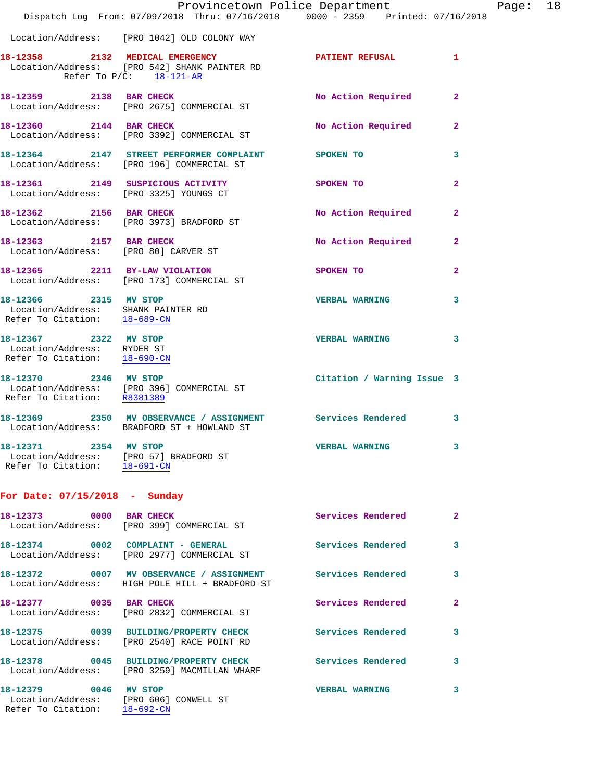|                                                                                                    | Provincetown Police Department The Rage: 18<br>Dispatch Log From: 07/09/2018 Thru: 07/16/2018 0000 - 2359 Printed: 07/16/2018 |                            |                |  |
|----------------------------------------------------------------------------------------------------|-------------------------------------------------------------------------------------------------------------------------------|----------------------------|----------------|--|
|                                                                                                    | Location/Address: [PRO 1042] OLD COLONY WAY                                                                                   |                            |                |  |
| Refer To $P/C$ : 18-121-AR                                                                         | 18-12358 2132 MEDICAL EMERGENCY PATIENT REFUSAL<br>Location/Address: [PRO 542] SHANK PAINTER RD                               |                            | $\mathbf{1}$   |  |
|                                                                                                    | 18-12359 2138 BAR CHECK<br>Location/Address: [PRO 2675] COMMERCIAL ST                                                         | No Action Required         | $\mathbf{2}$   |  |
|                                                                                                    | 18-12360 2144 BAR CHECK<br>Location/Address: [PRO 3392] COMMERCIAL ST                                                         | No Action Required         | $\mathbf{2}$   |  |
|                                                                                                    | 18-12364 2147 STREET PERFORMER COMPLAINT SPOKEN TO<br>Location/Address: [PRO 196] COMMERCIAL ST                               |                            | 3              |  |
|                                                                                                    | 18-12361 2149 SUSPICIOUS ACTIVITY<br>Location/Address: [PRO 3325] YOUNGS CT                                                   | <b>SPOKEN TO</b>           | $\overline{2}$ |  |
|                                                                                                    | 18-12362 2156 BAR CHECK<br>Location/Address: [PRO 3973] BRADFORD ST                                                           | No Action Required         | $\mathbf{2}$   |  |
| 18-12363 2157 BAR CHECK                                                                            | Location/Address: [PRO 80] CARVER ST                                                                                          | No Action Required 2       |                |  |
|                                                                                                    | 18-12365 2211 BY-LAW VIOLATION<br>Location/Address: [PRO 173] COMMERCIAL ST                                                   | SPOKEN TO                  | 2              |  |
| 18-12366 2315 MV STOP<br>Location/Address: SHANK PAINTER RD<br>Refer To Citation: <u>18-689-CN</u> |                                                                                                                               | <b>VERBAL WARNING</b>      | 3              |  |
| 18-12367 2322 MV STOP<br>Location/Address: RYDER ST<br>Refer To Citation: 18-690-CN                |                                                                                                                               | <b>VERBAL WARNING</b>      | 3              |  |
|                                                                                                    | 18-12370 2346 MV STOP<br>Location/Address: [PRO 396] COMMERCIAL ST<br>Refer To Citation: R8381389                             | Citation / Warning Issue 3 |                |  |
|                                                                                                    | 18-12369 2350 MV OBSERVANCE / ASSIGNMENT Services Rendered<br>Location/Address: BRADFORD ST + HOWLAND ST                      |                            | 3              |  |
| 18-12371 2354 MV STOP<br>Location/Address: [PRO 57] BRADFORD ST<br>Refer To Citation: 18-691-CN    |                                                                                                                               | <b>VERBAL WARNING</b>      | 3              |  |
| For Date: $07/15/2018$ - Sunday                                                                    |                                                                                                                               |                            |                |  |
|                                                                                                    | 18-12373 0000 BAR CHECK<br>Location/Address: [PRO 399] COMMERCIAL ST                                                          | Services Rendered          | $\mathbf{2}$   |  |
|                                                                                                    | 18-12374 0002 COMPLAINT - GENERAL<br>Location/Address: [PRO 2977] COMMERCIAL ST                                               | Services Rendered          | 3              |  |
|                                                                                                    | 18-12372 0007 MV OBSERVANCE / ASSIGNMENT Services Rendered<br>Location/Address: HIGH POLE HILL + BRADFORD ST                  |                            | 3              |  |
| 18-12377 0035 BAR CHECK                                                                            | Location/Address: [PRO 2832] COMMERCIAL ST                                                                                    | Services Rendered          | $\mathbf{2}$   |  |
|                                                                                                    | 18-12375 0039 BUILDING/PROPERTY CHECK<br>Location/Address: [PRO 2540] RACE POINT RD                                           | <b>Services Rendered</b>   | 3              |  |
|                                                                                                    | 18-12378 0045 BUILDING/PROPERTY CHECK Services Rendered<br>Location/Address: [PRO 3259] MACMILLAN WHARF                       |                            | 3              |  |
| 18-12379 0046 MV STOP<br>Location/Address: [PRO 606] CONWELL ST<br>Refer To Citation: 18-692-CN    |                                                                                                                               | <b>VERBAL WARNING</b>      | 3              |  |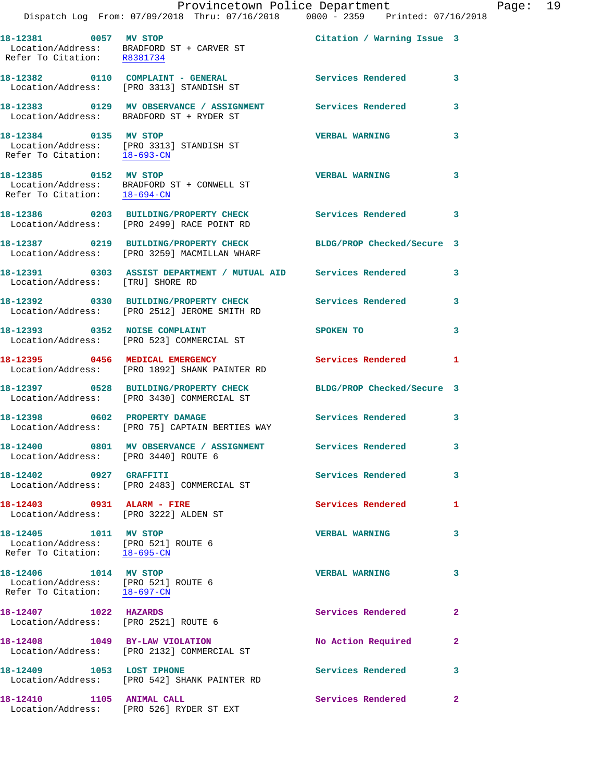|                                                                                                | Provincetown Police Department<br>Dispatch Log From: 07/09/2018 Thru: 07/16/2018 0000 - 2359 Printed: 07/16/2018               |                            |              |
|------------------------------------------------------------------------------------------------|--------------------------------------------------------------------------------------------------------------------------------|----------------------------|--------------|
| 18-12381 0057 MV STOP                                                                          | Location/Address: BRADFORD ST + CARVER ST<br>Refer To Citation: R8381734                                                       | Citation / Warning Issue 3 |              |
|                                                                                                | 18-12382 0110 COMPLAINT - GENERAL<br>Location/Address: [PRO 3313] STANDISH ST                                                  | <b>Services Rendered</b>   | 3            |
|                                                                                                | 18-12383 6129 MV OBSERVANCE / ASSIGNMENT Services Rendered<br>Location/Address: BRADFORD ST + RYDER ST                         |                            | 3            |
| 18-12384 0135 MV STOP                                                                          | Location/Address: [PRO 3313] STANDISH ST<br>Refer To Citation: $\frac{18-693-CN}{18-693-CN}$                                   | <b>VERBAL WARNING</b>      | 3            |
|                                                                                                | 18-12385 0152 MV STOP<br>Location/Address: BRADFORD ST + CONWELL ST<br>Refer To Citation: $\frac{18-694-CN}{\sqrt{16}-694-CN}$ | <b>VERBAL WARNING</b>      | 3            |
|                                                                                                | 18-12386 0203 BUILDING/PROPERTY CHECK<br>Location/Address: [PRO 2499] RACE POINT RD                                            | <b>Services Rendered</b>   | 3            |
|                                                                                                | 18-12387 0219 BUILDING/PROPERTY CHECK<br>Location/Address: [PRO 3259] MACMILLAN WHARF                                          | BLDG/PROP Checked/Secure 3 |              |
| Location/Address: [TRU] SHORE RD                                                               | 18-12391 0303 ASSIST DEPARTMENT / MUTUAL AID Services Rendered                                                                 |                            | 3            |
|                                                                                                | 18-12392 0330 BUILDING/PROPERTY CHECK Services Rendered<br>Location/Address: [PRO 2512] JEROME SMITH RD                        |                            | 3            |
|                                                                                                | 18-12393 0352 NOISE COMPLAINT<br>Location/Address: [PRO 523] COMMERCIAL ST                                                     | SPOKEN TO                  | 3            |
|                                                                                                | 18-12395 0456 MEDICAL EMERGENCY<br>Location/Address: [PRO 1892] SHANK PAINTER RD                                               | <b>Services Rendered</b>   | 1            |
|                                                                                                | 18-12397 0528 BUILDING/PROPERTY CHECK<br>Location/Address: [PRO 3430] COMMERCIAL ST                                            | BLDG/PROP Checked/Secure 3 |              |
| 18-12398 0602 PROPERTY DAMAGE                                                                  | Location/Address: [PRO 75] CAPTAIN BERTIES WAY                                                                                 | <b>Services Rendered</b>   | 3            |
| Location/Address: [PRO 3440] ROUTE 6                                                           | 18-12400 0801 MV OBSERVANCE / ASSIGNMENT Services Rendered                                                                     |                            | 3            |
| 18-12402 0927 GRAFFITI                                                                         | Location/Address: [PRO 2483] COMMERCIAL ST                                                                                     | Services Rendered          | 3            |
| 18-12403 0931 ALARM - FIRE<br>Location/Address: [PRO 3222] ALDEN ST                            |                                                                                                                                | Services Rendered          | 1            |
| Location/Address: [PRO 521] ROUTE 6<br>Refer To Citation: 18-695-CN                            |                                                                                                                                | <b>VERBAL WARNING</b>      | 3            |
| 18-12406   1014 MV STOP<br>Location/Address: [PRO 521] ROUTE 6<br>Refer To Citation: 18-697-CN |                                                                                                                                | <b>VERBAL WARNING</b>      | 3            |
| 18-12407 1022 HAZARDS<br>Location/Address: [PRO 2521] ROUTE 6                                  |                                                                                                                                | Services Rendered          | $\mathbf{2}$ |
|                                                                                                | 18-12408 1049 BY-LAW VIOLATION<br>Location/Address: [PRO 2132] COMMERCIAL ST                                                   | No Action Required         | $\mathbf{2}$ |
| 18-12409 1053 LOST IPHONE                                                                      | Location/Address: [PRO 542] SHANK PAINTER RD                                                                                   | Services Rendered          | 3            |
| 18-12410 1105 ANIMAL CALL                                                                      | Location/Address: [PRO 526] RYDER ST EXT                                                                                       | Services Rendered          | $\mathbf{2}$ |

Page: 19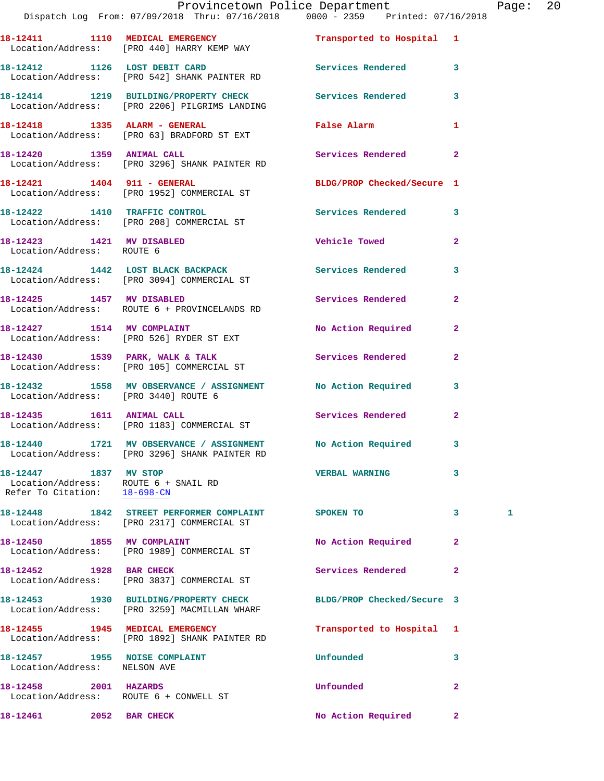|                                                                                               | Dispatch Log From: 07/09/2018 Thru: 07/16/2018 0000 - 2359 Printed: 07/16/2018                               | Provincetown Police Department |                | Page: 20 |  |
|-----------------------------------------------------------------------------------------------|--------------------------------------------------------------------------------------------------------------|--------------------------------|----------------|----------|--|
|                                                                                               | 18-12411 1110 MEDICAL EMERGENCY<br>Location/Address: [PRO 440] HARRY KEMP WAY                                | Transported to Hospital 1      |                |          |  |
|                                                                                               | 18-12412 1126 LOST DEBIT CARD Services Rendered 3<br>Location/Address: [PRO 542] SHANK PAINTER RD            |                                |                |          |  |
|                                                                                               | 18-12414 1219 BUILDING/PROPERTY CHECK Services Rendered 3<br>Location/Address: [PRO 2206] PILGRIMS LANDING   |                                |                |          |  |
|                                                                                               | 18-12418 1335 ALARM - GENERAL False Alarm<br>Location/Address: [PRO 63] BRADFORD ST EXT                      |                                | $\mathbf{1}$   |          |  |
|                                                                                               | 18-12420 1359 ANIMAL CALL<br>Location/Address: [PRO 3296] SHANK PAINTER RD                                   | Services Rendered 2            |                |          |  |
|                                                                                               | 18-12421 1404 911 - GENERAL<br>Location/Address: [PRO 1952] COMMERCIAL ST                                    | BLDG/PROP Checked/Secure 1     |                |          |  |
|                                                                                               | 18-12422 1410 TRAFFIC CONTROL<br>Location/Address: [PRO 208] COMMERCIAL ST                                   | Services Rendered 3            |                |          |  |
| Location/Address: ROUTE 6                                                                     | 18-12423 1421 MV DISABLED                                                                                    | <b>Vehicle Towed</b>           | $\overline{2}$ |          |  |
|                                                                                               | 18-12424 1442 LOST BLACK BACKPACK 1 Services Rendered 3<br>Location/Address: [PRO 3094] COMMERCIAL ST        |                                |                |          |  |
|                                                                                               | 18-12425 1457 MV DISABLED<br>Location/Address: ROUTE 6 + PROVINCELANDS RD                                    | <b>Services Rendered</b>       | $\mathbf{2}$   |          |  |
|                                                                                               | 18-12427 1514 MV COMPLAINT<br>Location/Address: [PRO 526] RYDER ST EXT                                       | No Action Required 2           |                |          |  |
|                                                                                               | 18-12430 1539 PARK, WALK & TALK (Services Rendered Location/Address: [PRO 105] COMMERCIAL ST                 |                                | $\mathbf{2}$   |          |  |
| Location/Address: [PRO 3440] ROUTE 6                                                          | 18-12432 1558 MV OBSERVANCE / ASSIGNMENT No Action Required 3                                                |                                |                |          |  |
|                                                                                               | 18-12435   1611   ANIMAL CALL<br>Location/Address: [PRO 1183] COMMERCIAL ST                                  | Services Rendered 2            |                |          |  |
|                                                                                               | 18-12440 1721 MV OBSERVANCE / ASSIGNMENT No Action Required<br>Location/Address: [PRO 3296] SHANK PAINTER RD |                                |                |          |  |
| 18-12447 1837 MV STOP<br>Location/Address: ROUTE 6 + SNAIL RD<br>Refer To Citation: 18-698-CN |                                                                                                              | <b>VERBAL WARNING</b>          | 3              |          |  |
|                                                                                               | 18-12448 1842 STREET PERFORMER COMPLAINT SPOKEN TO<br>Location/Address: [PRO 2317] COMMERCIAL ST             |                                | $\mathbf{3}$   | 1        |  |
|                                                                                               | 18-12450 1855 MV COMPLAINT<br>Location/Address: [PRO 1989] COMMERCIAL ST                                     | No Action Required             | $\mathbf{2}$   |          |  |
| 18-12452 1928 BAR CHECK                                                                       | Location/Address: [PRO 3837] COMMERCIAL ST                                                                   | Services Rendered              | $\mathbf{2}$   |          |  |
|                                                                                               | 18-12453 1930 BUILDING/PROPERTY CHECK<br>Location/Address: [PRO 3259] MACMILLAN WHARF                        | BLDG/PROP Checked/Secure 3     |                |          |  |
|                                                                                               | 18-12455 1945 MEDICAL EMERGENCY<br>Location/Address: [PRO 1892] SHANK PAINTER RD                             | Transported to Hospital 1      |                |          |  |
| 18-12457 1955 NOISE COMPLAINT<br>Location/Address: NELSON AVE                                 |                                                                                                              | Unfounded                      | 3              |          |  |
| 18-12458 2001 HAZARDS                                                                         | Location/Address: ROUTE 6 + CONWELL ST                                                                       | Unfounded                      | $\overline{2}$ |          |  |
| 18-12461 2052 BAR CHECK                                                                       |                                                                                                              | No Action Required             | $\mathbf{2}$   |          |  |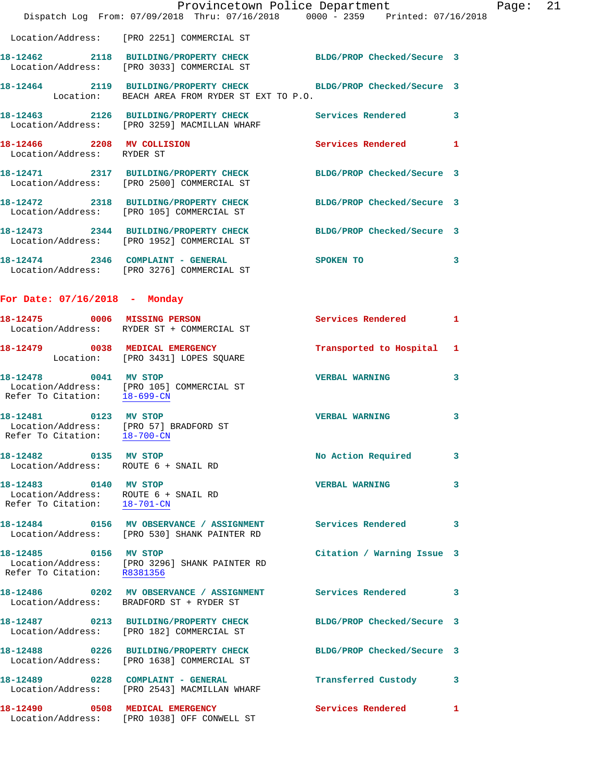|                                                                                               | Provincetown Police Department Page: 21<br>Dispatch Log From: 07/09/2018 Thru: 07/16/2018 0000 - 2359 Printed: 07/16/2018 |                            |              |  |
|-----------------------------------------------------------------------------------------------|---------------------------------------------------------------------------------------------------------------------------|----------------------------|--------------|--|
|                                                                                               |                                                                                                                           |                            |              |  |
|                                                                                               | Location/Address: [PRO 2251] COMMERCIAL ST                                                                                |                            |              |  |
|                                                                                               | 18-12462 2118 BUILDING/PROPERTY CHECK BLDG/PROP Checked/Secure 3<br>Location/Address: [PRO 3033] COMMERCIAL ST            |                            |              |  |
|                                                                                               | 18-12464 2119 BUILDING/PROPERTY CHECK BLDG/PROP Checked/Secure 3<br>Location: BEACH AREA FROM RYDER ST EXT TO P.O.        |                            |              |  |
|                                                                                               | 18-12463 2126 BUILDING/PROPERTY CHECK Services Rendered 3<br>Location/Address: [PRO 3259] MACMILLAN WHARF                 |                            |              |  |
| Location/Address: RYDER ST                                                                    | 18-12466 2208 MV COLLISION                                                                                                | Services Rendered 1        |              |  |
|                                                                                               | 18-12471 2317 BUILDING/PROPERTY CHECK BLDG/PROP Checked/Secure 3<br>Location/Address: [PRO 2500] COMMERCIAL ST            |                            |              |  |
|                                                                                               | 18-12472 2318 BUILDING/PROPERTY CHECK<br>Location/Address: [PRO 105] COMMERCIAL ST                                        | BLDG/PROP Checked/Secure 3 |              |  |
|                                                                                               | 18-12473 2344 BUILDING/PROPERTY CHECK BLDG/PROP Checked/Secure 3<br>Location/Address: [PRO 1952] COMMERCIAL ST            |                            |              |  |
|                                                                                               | 18-12474 2346 COMPLAINT - GENERAL<br>Location/Address: [PRO 3276] COMMERCIAL ST                                           | SPOKEN TO                  | $\mathbf{3}$ |  |
| For Date: 07/16/2018 - Monday                                                                 |                                                                                                                           |                            |              |  |
|                                                                                               | 18-12475 0006 MISSING PERSON<br>Location/Address: RYDER ST + COMMERCIAL ST                                                | Services Rendered 1        |              |  |
|                                                                                               | 18-12479 0038 MEDICAL EMERGENCY<br>Location: [PRO 3431] LOPES SQUARE                                                      | Transported to Hospital 1  |              |  |
| 18-12478 0041 MV STOP<br>Refer To Citation: 18-699-CN                                         | Location/Address: [PRO 105] COMMERCIAL ST                                                                                 | VERBAL WARNING 3           |              |  |
| Location/Address: [PRO 57] BRADFORD ST<br>Refer To Citation: 18-700-CN                        | 18-12481 0123 MV STOP                                                                                                     | <b>VERBAL WARNING</b>      | 3            |  |
| 18-12482 0135 MV STOP<br>Location/Address: ROUTE 6 + SNAIL RD                                 |                                                                                                                           | No Action Required 3       |              |  |
| 18-12483 0140 MV STOP<br>Location/Address: ROUTE 6 + SNAIL RD<br>Refer To Citation: 18-701-CN |                                                                                                                           | <b>VERBAL WARNING</b>      | 3            |  |
|                                                                                               | 18-12484 0156 MV OBSERVANCE / ASSIGNMENT Services Rendered 3<br>Location/Address: [PRO 530] SHANK PAINTER RD              |                            |              |  |
| 18-12485 0156 MV STOP                                                                         | Location/Address: [PRO 3296] SHANK PAINTER RD<br>Refer To Citation: R8381356                                              | Citation / Warning Issue 3 |              |  |
|                                                                                               | 18-12486 0202 MV OBSERVANCE / ASSIGNMENT Services Rendered 3<br>Location/Address: BRADFORD ST + RYDER ST                  |                            |              |  |
|                                                                                               | 18-12487 0213 BUILDING/PROPERTY CHECK<br>Location/Address: [PRO 182] COMMERCIAL ST                                        | BLDG/PROP Checked/Secure 3 |              |  |
|                                                                                               | 18-12488 0226 BUILDING/PROPERTY CHECK BLDG/PROP Checked/Secure 3<br>Location/Address: [PRO 1638] COMMERCIAL ST            |                            |              |  |
|                                                                                               | 18-12489 0228 COMPLAINT - GENERAL<br>Location/Address: [PRO 2543] MACMILLAN WHARF                                         | Transferred Custody 3      |              |  |
|                                                                                               | 18-12490 0508 MEDICAL EMERGENCY<br>Location/Address: [PRO 1038] OFF CONWELL ST                                            | Services Rendered          | $\mathbf{1}$ |  |
|                                                                                               |                                                                                                                           |                            |              |  |